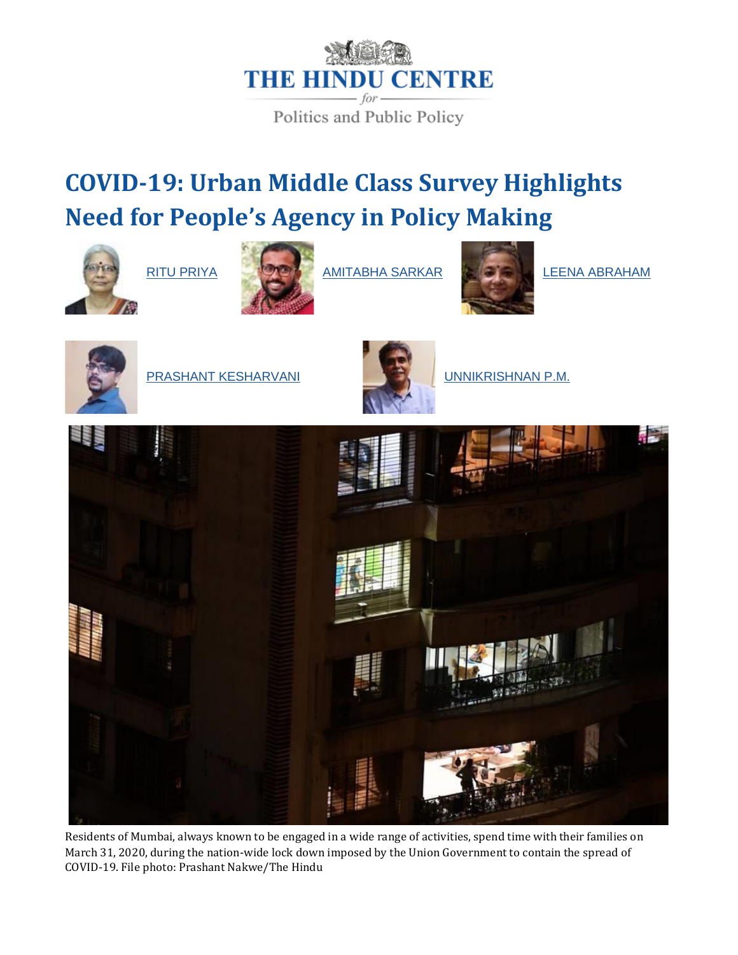

Politics and Public Policy

# **COVID-19: Urban Middle Class Survey Highlights Need for People's Agency in Policy Making**





[RITU PRIYA](https://www.thehinducentre.com/profile/author/Ritu-Priya-143679/) **[AMITABHA SARKAR](https://www.thehinducentre.com/profile/author/Amitabha-Sarkar-143680/)** AMITABHA SARKAR ASTA LEENA ABRAHAM





[PRASHANT KESHARVANI](https://www.thehinducentre.com/profile/author/Prashant-Kesharvani-143682/) UNITED SERIAT [UNNIKRISHNAN P.M.](https://www.thehinducentre.com/profile/author/Unnikrishnan-P.M.-143683/)





Residents of Mumbai, always known to be engaged in a wide range of activities, spend time with their families on March 31, 2020, during the nation-wide lock down imposed by the Union Government to contain the spread of COVID-19. File photo: Prashant Nakwe/The Hindu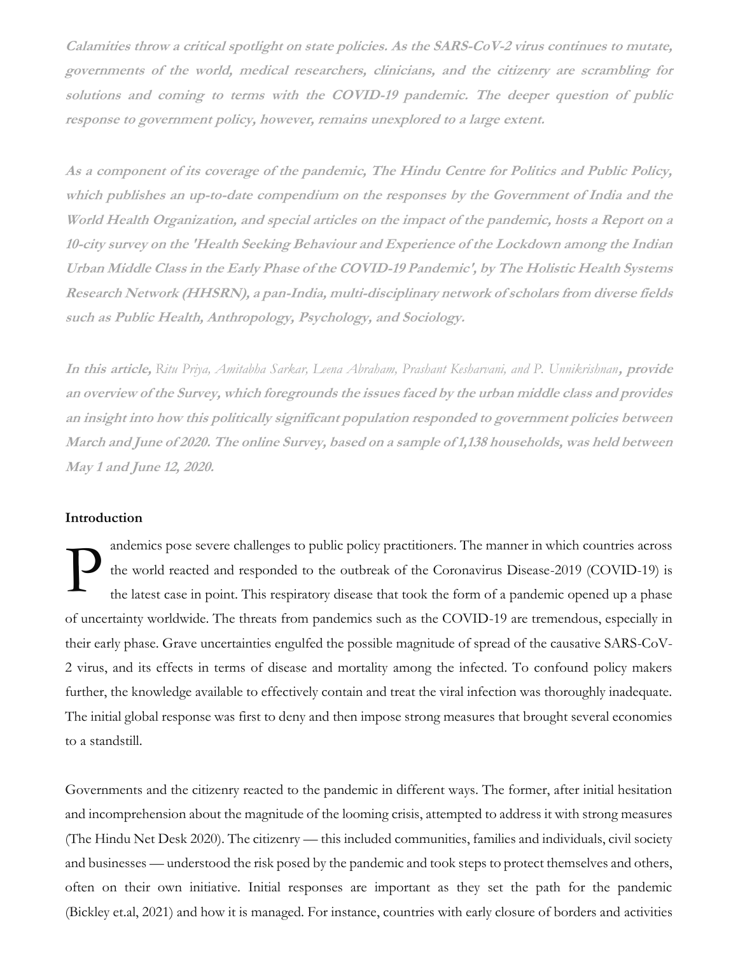**Calamities throw a critical spotlight on state policies. As the SARS-CoV-2 virus continues to mutate, governments of the world, medical researchers, clinicians, and the citizenry are scrambling for solutions and coming to terms with the COVID-19 pandemic. The deeper question of public response to government policy, however, remains unexplored to a large extent.**

**As a component of its coverage of the pandemic, The Hindu Centre for Politics and Public Policy, which publishes an up-to-date compendium on the responses by the Government of India and the World Health Organization, and special articles on the impact of the pandemic, hosts a Report on a 10-city survey on the 'Health Seeking Behaviour and Experience of the Lockdown among the Indian Urban Middle Class in the Early Phase of the COVID-19 Pandemic', by The Holistic Health Systems Research Network (HHSRN), a pan-India, multi-disciplinary network of scholars from diverse fields such as Public Health, Anthropology, Psychology, and Sociology.**

**In this article,** *Ritu Priya, Amitabha Sarkar, Leena Abraham, Prashant Kesharvani, and P. Unnikrishnan***, provide an overview of the Survey, which foregrounds the issues faced by the urban middle class and provides an insight into how this politically significant population responded to government policies between March and June of 2020. The online Survey, based on a sample of 1,138 households, was held between May 1 and June 12, 2020.**

# **Introduction**

andemics pose severe challenges to public policy practitioners. The manner in which countries across the world reacted and responded to the outbreak of the Coronavirus Disease-2019 (COVID-19) is the latest case in point. This respiratory disease that took the form of a pandemic opened up a phase of uncertainty worldwide. The threats from pandemics such as the COVID-19 are tremendous, especially in their early phase. Grave uncertainties engulfed the possible magnitude of spread of the causative SARS-CoV-2 virus, and its effects in terms of disease and mortality among the infected. To confound policy makers further, the knowledge available to effectively contain and treat the viral infection was thoroughly inadequate. The initial global response was first to deny and then impose strong measures that brought several economies to a standstill. P

Governments and the citizenry reacted to the pandemic in different ways. The former, after initial hesitation and incomprehension about the magnitude of the looming crisis, attempted to address it with strong measures (The Hindu Net Desk 2020). The citizenry — this included communities, families and individuals, civil society and businesses — understood the risk posed by the pandemic and took steps to protect themselves and others, often on their own initiative. Initial responses are important as they set the path for the pandemic (Bickley et.al, 2021) and how it is managed. For instance, countries with early closure of borders and activities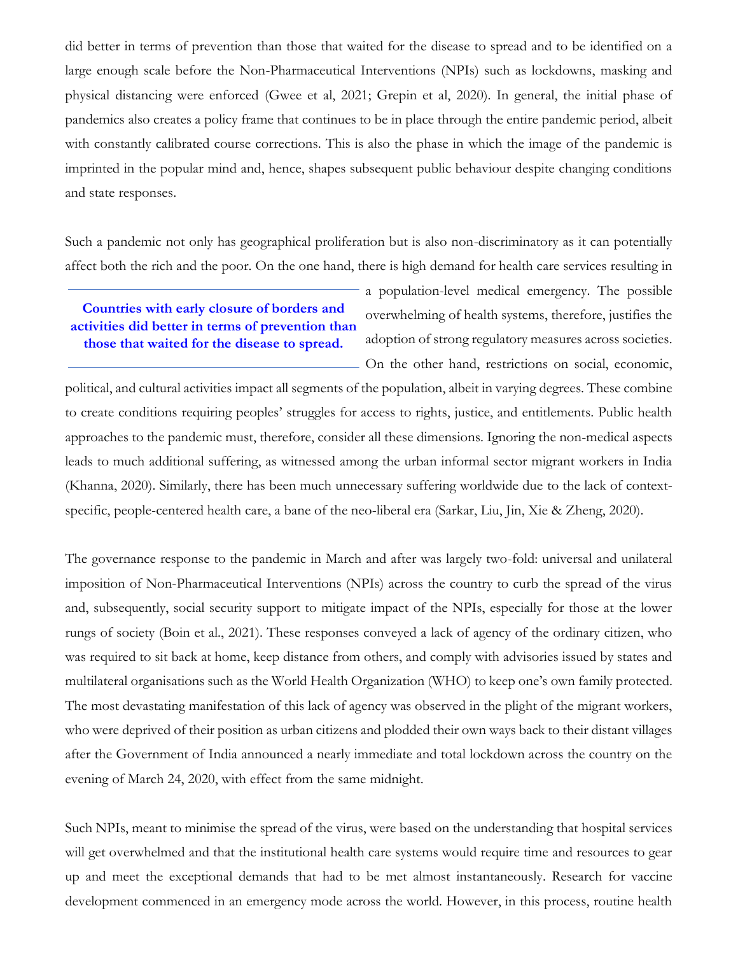did better in terms of prevention than those that waited for the disease to spread and to be identified on a large enough scale before the Non-Pharmaceutical Interventions (NPIs) such as lockdowns, masking and physical distancing were enforced (Gwee et al, 2021; Grepin et al, 2020). In general, the initial phase of pandemics also creates a policy frame that continues to be in place through the entire pandemic period, albeit with constantly calibrated course corrections. This is also the phase in which the image of the pandemic is imprinted in the popular mind and, hence, shapes subsequent public behaviour despite changing conditions and state responses.

Such a pandemic not only has geographical proliferation but is also non-discriminatory as it can potentially affect both the rich and the poor. On the one hand, there is high demand for health care services resulting in

**Countries with early closure of borders and activities did better in terms of prevention than those that waited for the disease to spread.**

a population-level medical emergency. The possible overwhelming of health systems, therefore, justifies the adoption of strong regulatory measures across societies. On the other hand, restrictions on social, economic,

political, and cultural activities impact all segments of the population, albeit in varying degrees. These combine to create conditions requiring peoples' struggles for access to rights, justice, and entitlements. Public health approaches to the pandemic must, therefore, consider all these dimensions. Ignoring the non-medical aspects leads to much additional suffering, as witnessed among the urban informal sector migrant workers in India (Khanna, 2020). Similarly, there has been much unnecessary suffering worldwide due to the lack of contextspecific, people-centered health care, a bane of the neo-liberal era (Sarkar, Liu, Jin, Xie & Zheng, 2020).

The governance response to the pandemic in March and after was largely two-fold: universal and unilateral imposition of Non-Pharmaceutical Interventions (NPIs) across the country to curb the spread of the virus and, subsequently, social security support to mitigate impact of the NPIs, especially for those at the lower rungs of society (Boin et al., 2021). These responses conveyed a lack of agency of the ordinary citizen, who was required to sit back at home, keep distance from others, and comply with advisories issued by states and multilateral organisations such as the World Health Organization (WHO) to keep one's own family protected. The most devastating manifestation of this lack of agency was observed in the plight of the migrant workers, who were deprived of their position as urban citizens and plodded their own ways back to their distant villages after the Government of India announced a nearly immediate and total lockdown across the country on the evening of March 24, 2020, with effect from the same midnight.

Such NPIs, meant to minimise the spread of the virus, were based on the understanding that hospital services will get overwhelmed and that the institutional health care systems would require time and resources to gear up and meet the exceptional demands that had to be met almost instantaneously. Research for vaccine development commenced in an emergency mode across the world. However, in this process, routine health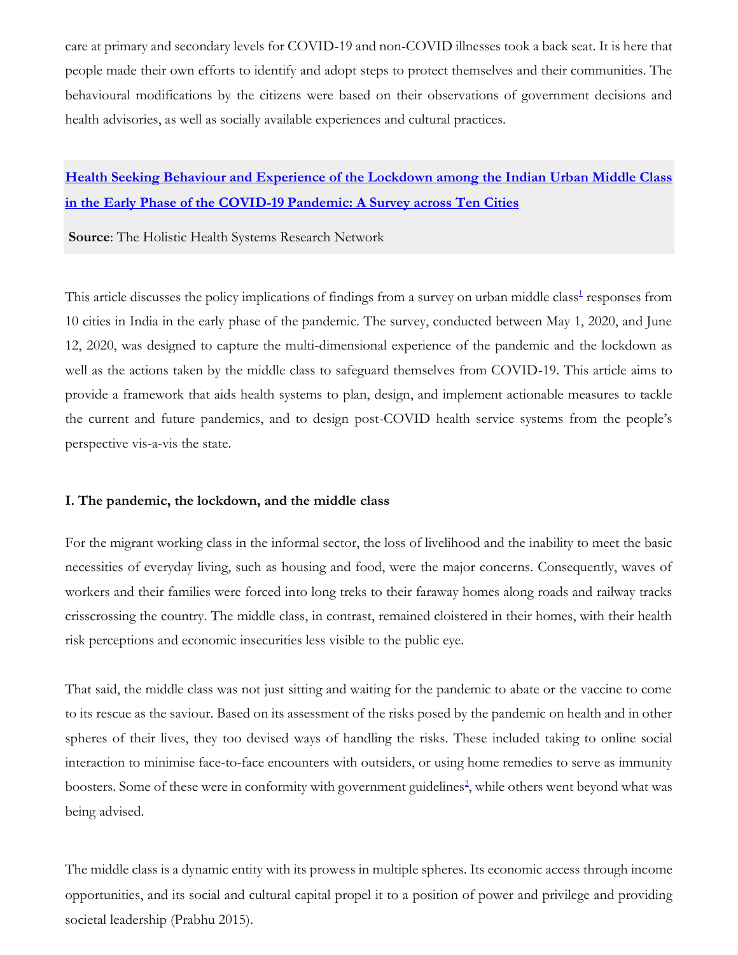care at primary and secondary levels for COVID-19 and non-COVID illnesses took a back seat. It is here that people made their own efforts to identify and adopt steps to protect themselves and their communities. The behavioural modifications by the citizens were based on their observations of government decisions and health advisories, as well as socially available experiences and cultural practices.

# **[Health Seeking Behaviour and Experience of the Lockdown among the Indian Urban Middle Class](https://hhsrn.org/spotlight/Health-Seeking-Behavior-and-Experience-of-the-Lockdown-among-the-Indian-Urban-Middle-Class-in-Early-Phase-of-the-COVID-19-Pandemic-A-Survey/2911/)  [in the Early Phase of the COVID-19 Pandemic: A Survey across Ten Cities](https://hhsrn.org/spotlight/Health-Seeking-Behavior-and-Experience-of-the-Lockdown-among-the-Indian-Urban-Middle-Class-in-Early-Phase-of-the-COVID-19-Pandemic-A-Survey/2911/)**

**Source**: The Holistic Health Systems Research Network

Thi[s](https://www.thehinducentre.com/the-arena/current-issues/article38250272.ece#one1) article discusses the policy implications of findings from a survey on urban middle class<sup>1</sup> responses from 10 cities in India in the early phase of the pandemic. The survey, conducted between May 1, 2020, and June 12, 2020, was designed to capture the multi-dimensional experience of the pandemic and the lockdown as well as the actions taken by the middle class to safeguard themselves from COVID-19. This article aims to provide a framework that aids health systems to plan, design, and implement actionable measures to tackle the current and future pandemics, and to design post-COVID health service systems from the people's perspective vis-a-vis the state.

## **I. The pandemic, the lockdown, and the middle class**

For the migrant working class in the informal sector, the loss of livelihood and the inability to meet the basic necessities of everyday living, such as housing and food, were the major concerns. Consequently, waves of workers and their families were forced into long treks to their faraway homes along roads and railway tracks crisscrossing the country. The middle class, in contrast, remained cloistered in their homes, with their health risk perceptions and economic insecurities less visible to the public eye.

That said, the middle class was not just sitting and waiting for the pandemic to abate or the vaccine to come to its rescue as the saviour. Based on its assessment of the risks posed by the pandemic on health and in other spheres of their lives, they too devised ways of handling the risks. These included taking to online social interaction to minimise face-to-face encounters with outsiders, or using home remedies to serve as immunity boo[s](https://www.thehinducentre.com/the-arena/current-issues/article38250272.ece#two2)ters. Some of these were in conformity with government guidelines<sup>2</sup>, while others went beyond what was being advised.

The middle class is a dynamic entity with its prowess in multiple spheres. Its economic access through income opportunities, and its social and cultural capital propel it to a position of power and privilege and providing societal leadership (Prabhu 2015).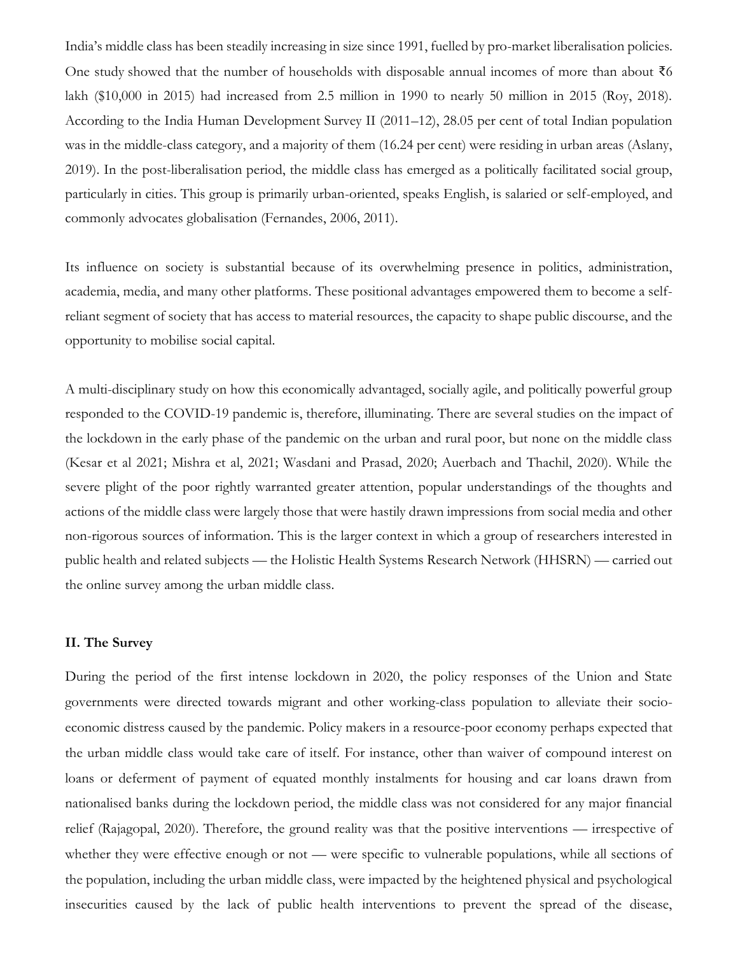India's middle class has been steadily increasing in size since 1991, fuelled by pro-market liberalisation policies. One study showed that the number of households with disposable annual incomes of more than about ₹6 lakh (\$10,000 in 2015) had increased from 2.5 million in 1990 to nearly 50 million in 2015 (Roy, 2018). According to the India Human Development Survey II (2011–12), 28.05 per cent of total Indian population was in the middle-class category, and a majority of them (16.24 per cent) were residing in urban areas (Aslany, 2019). In the post-liberalisation period, the middle class has emerged as a politically facilitated social group, particularly in cities. This group is primarily urban-oriented, speaks English, is salaried or self-employed, and commonly advocates globalisation (Fernandes, 2006, 2011).

Its influence on society is substantial because of its overwhelming presence in politics, administration, academia, media, and many other platforms. These positional advantages empowered them to become a selfreliant segment of society that has access to material resources, the capacity to shape public discourse, and the opportunity to mobilise social capital.

A multi-disciplinary study on how this economically advantaged, socially agile, and politically powerful group responded to the COVID-19 pandemic is, therefore, illuminating. There are several studies on the impact of the lockdown in the early phase of the pandemic on the urban and rural poor, but none on the middle class (Kesar et al 2021; Mishra et al, 2021; Wasdani and Prasad, 2020; Auerbach and Thachil, 2020). While the severe plight of the poor rightly warranted greater attention, popular understandings of the thoughts and actions of the middle class were largely those that were hastily drawn impressions from social media and other non-rigorous sources of information. This is the larger context in which a group of researchers interested in public health and related subjects — the Holistic Health Systems Research Network (HHSRN) — carried out the online survey among the urban middle class.

### **II. The Survey**

During the period of the first intense lockdown in 2020, the policy responses of the Union and State governments were directed towards migrant and other working-class population to alleviate their socioeconomic distress caused by the pandemic. Policy makers in a resource-poor economy perhaps expected that the urban middle class would take care of itself. For instance, other than waiver of compound interest on loans or deferment of payment of equated monthly instalments for housing and car loans drawn from nationalised banks during the lockdown period, the middle class was not considered for any major financial relief (Rajagopal, 2020). Therefore, the ground reality was that the positive interventions — irrespective of whether they were effective enough or not — were specific to vulnerable populations, while all sections of the population, including the urban middle class, were impacted by the heightened physical and psychological insecurities caused by the lack of public health interventions to prevent the spread of the disease,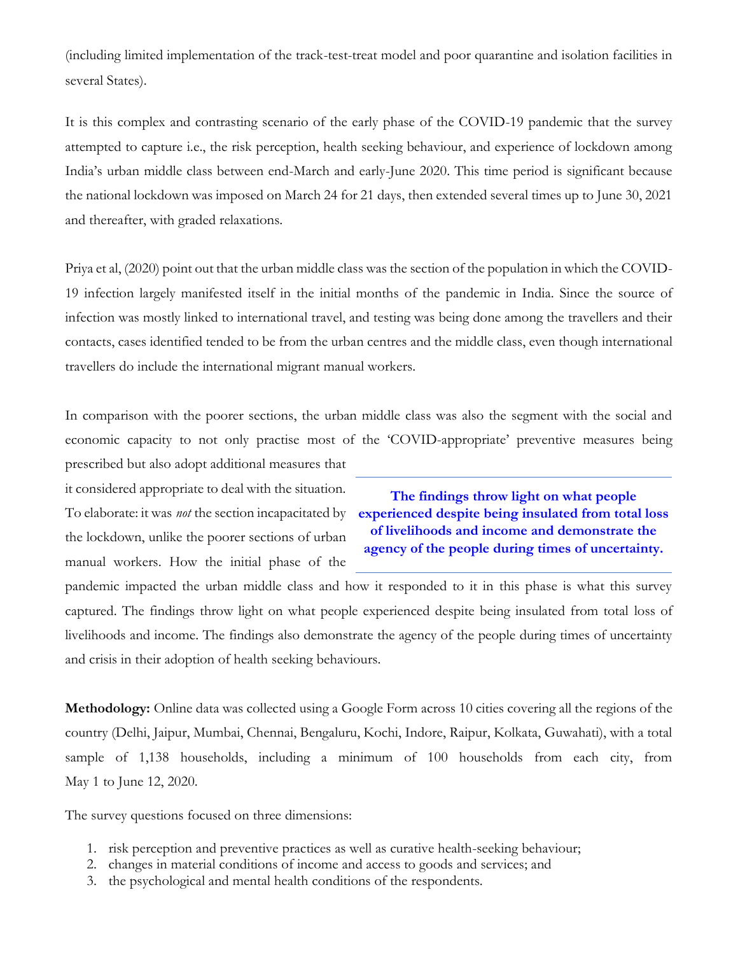(including limited implementation of the track-test-treat model and poor quarantine and isolation facilities in several States).

It is this complex and contrasting scenario of the early phase of the COVID-19 pandemic that the survey attempted to capture i.e., the risk perception, health seeking behaviour, and experience of lockdown among India's urban middle class between end-March and early-June 2020. This time period is significant because the national lockdown was imposed on March 24 for 21 days, then extended several times up to June 30, 2021 and thereafter, with graded relaxations.

Priya et al, (2020) point out that the urban middle class was the section of the population in which the COVID-19 infection largely manifested itself in the initial months of the pandemic in India. Since the source of infection was mostly linked to international travel, and testing was being done among the travellers and their contacts, cases identified tended to be from the urban centres and the middle class, even though international travellers do include the international migrant manual workers.

In comparison with the poorer sections, the urban middle class was also the segment with the social and economic capacity to not only practise most of the 'COVID-appropriate' preventive measures being prescribed but also adopt additional measures that

it considered appropriate to deal with the situation. To elaborate: it was *not* the section incapacitated by the lockdown, unlike the poorer sections of urban manual workers. How the initial phase of the

**The findings throw light on what people experienced despite being insulated from total loss of livelihoods and income and demonstrate the agency of the people during times of uncertainty.**

pandemic impacted the urban middle class and how it responded to it in this phase is what this survey captured. The findings throw light on what people experienced despite being insulated from total loss of livelihoods and income. The findings also demonstrate the agency of the people during times of uncertainty and crisis in their adoption of health seeking behaviours.

**Methodology:** Online data was collected using a Google Form across 10 cities covering all the regions of the country (Delhi, Jaipur, Mumbai, Chennai, Bengaluru, Kochi, Indore, Raipur, Kolkata, Guwahati), with a total sample of 1,138 households, including a minimum of 100 households from each city, from May 1 to June 12, 2020.

The survey questions focused on three dimensions:

- 1. risk perception and preventive practices as well as curative health-seeking behaviour;
- 2. changes in material conditions of income and access to goods and services; and
- 3. the psychological and mental health conditions of the respondents.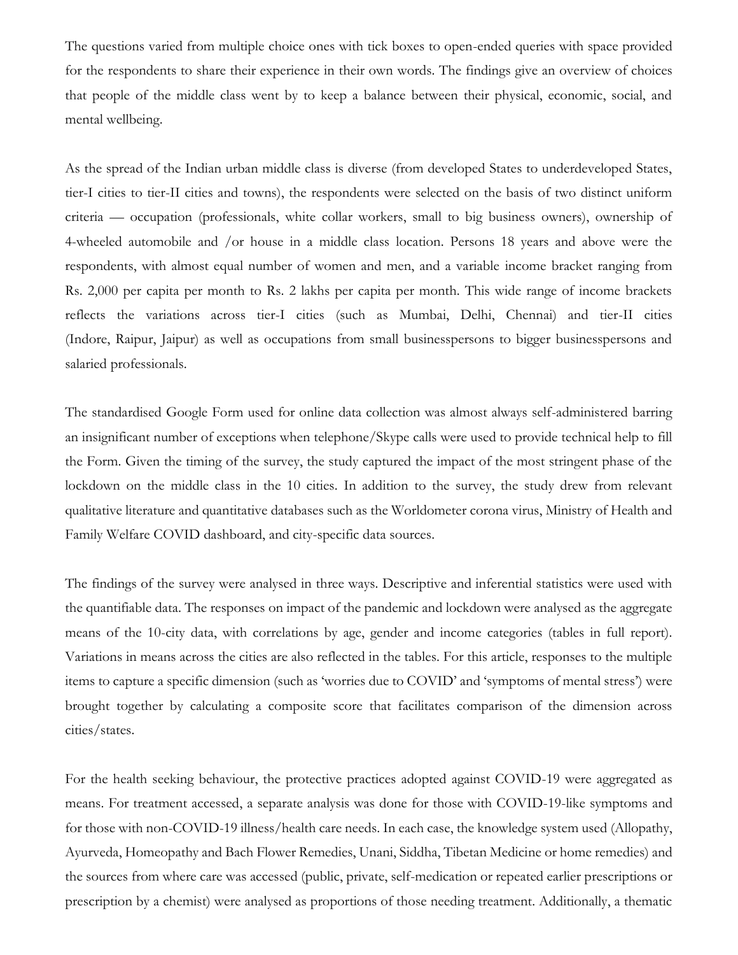The questions varied from multiple choice ones with tick boxes to open-ended queries with space provided for the respondents to share their experience in their own words. The findings give an overview of choices that people of the middle class went by to keep a balance between their physical, economic, social, and mental wellbeing.

As the spread of the Indian urban middle class is diverse (from developed States to underdeveloped States, tier-I cities to tier-II cities and towns), the respondents were selected on the basis of two distinct uniform criteria — occupation (professionals, white collar workers, small to big business owners), ownership of 4-wheeled automobile and /or house in a middle class location. Persons 18 years and above were the respondents, with almost equal number of women and men, and a variable income bracket ranging from Rs. 2,000 per capita per month to Rs. 2 lakhs per capita per month. This wide range of income brackets reflects the variations across tier-I cities (such as Mumbai, Delhi, Chennai) and tier-II cities (Indore, Raipur, Jaipur) as well as occupations from small businesspersons to bigger businesspersons and salaried professionals.

The standardised Google Form used for online data collection was almost always self-administered barring an insignificant number of exceptions when telephone/Skype calls were used to provide technical help to fill the Form. Given the timing of the survey, the study captured the impact of the most stringent phase of the lockdown on the middle class in the 10 cities. In addition to the survey, the study drew from relevant qualitative literature and quantitative databases such as the Worldometer corona virus, Ministry of Health and Family Welfare COVID dashboard, and city-specific data sources.

The findings of the survey were analysed in three ways. Descriptive and inferential statistics were used with the quantifiable data. The responses on impact of the pandemic and lockdown were analysed as the aggregate means of the 10-city data, with correlations by age, gender and income categories (tables in full report). Variations in means across the cities are also reflected in the tables. For this article, responses to the multiple items to capture a specific dimension (such as 'worries due to COVID' and 'symptoms of mental stress') were brought together by calculating a composite score that facilitates comparison of the dimension across cities/states.

For the health seeking behaviour, the protective practices adopted against COVID-19 were aggregated as means. For treatment accessed, a separate analysis was done for those with COVID-19-like symptoms and for those with non-COVID-19 illness/health care needs. In each case, the knowledge system used (Allopathy, Ayurveda, Homeopathy and Bach Flower Remedies, Unani, Siddha, Tibetan Medicine or home remedies) and the sources from where care was accessed (public, private, self-medication or repeated earlier prescriptions or prescription by a chemist) were analysed as proportions of those needing treatment. Additionally, a thematic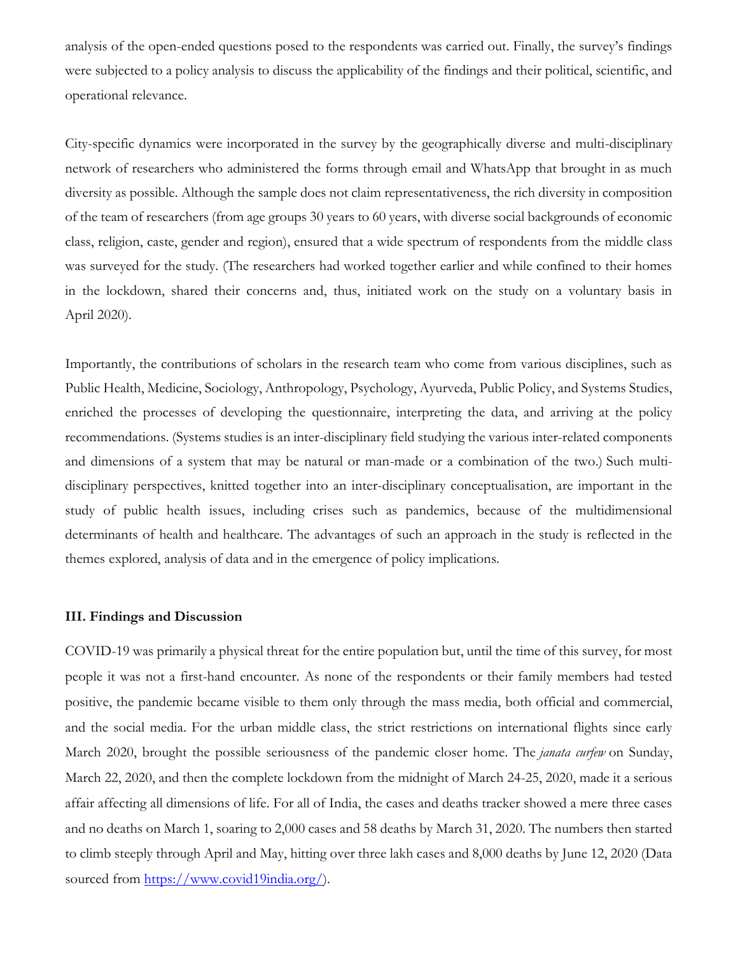analysis of the open-ended questions posed to the respondents was carried out. Finally, the survey's findings were subjected to a policy analysis to discuss the applicability of the findings and their political, scientific, and operational relevance.

City-specific dynamics were incorporated in the survey by the geographically diverse and multi-disciplinary network of researchers who administered the forms through email and WhatsApp that brought in as much diversity as possible. Although the sample does not claim representativeness, the rich diversity in composition of the team of researchers (from age groups 30 years to 60 years, with diverse social backgrounds of economic class, religion, caste, gender and region), ensured that a wide spectrum of respondents from the middle class was surveyed for the study. (The researchers had worked together earlier and while confined to their homes in the lockdown, shared their concerns and, thus, initiated work on the study on a voluntary basis in April 2020).

Importantly, the contributions of scholars in the research team who come from various disciplines, such as Public Health, Medicine, Sociology, Anthropology, Psychology, Ayurveda, Public Policy, and Systems Studies, enriched the processes of developing the questionnaire, interpreting the data, and arriving at the policy recommendations. (Systems studies is an inter-disciplinary field studying the various inter-related components and dimensions of a system that may be natural or man-made or a combination of the two.) Such multidisciplinary perspectives, knitted together into an inter-disciplinary conceptualisation, are important in the study of public health issues, including crises such as pandemics, because of the multidimensional determinants of health and healthcare. The advantages of such an approach in the study is reflected in the themes explored, analysis of data and in the emergence of policy implications.

## **III. Findings and Discussion**

COVID-19 was primarily a physical threat for the entire population but, until the time of this survey, for most people it was not a first-hand encounter. As none of the respondents or their family members had tested positive, the pandemic became visible to them only through the mass media, both official and commercial, and the social media. For the urban middle class, the strict restrictions on international flights since early March 2020, brought the possible seriousness of the pandemic closer home. The *janata curfew* on Sunday, March 22, 2020, and then the complete lockdown from the midnight of March 24-25, 2020, made it a serious affair affecting all dimensions of life. For all of India, the cases and deaths tracker showed a mere three cases and no deaths on March 1, soaring to 2,000 cases and 58 deaths by March 31, 2020. The numbers then started to climb steeply through April and May, hitting over three lakh cases and 8,000 deaths by June 12, 2020 (Data sourced from [https://www.covid19india.org/\)](https://www.covid19india.org/).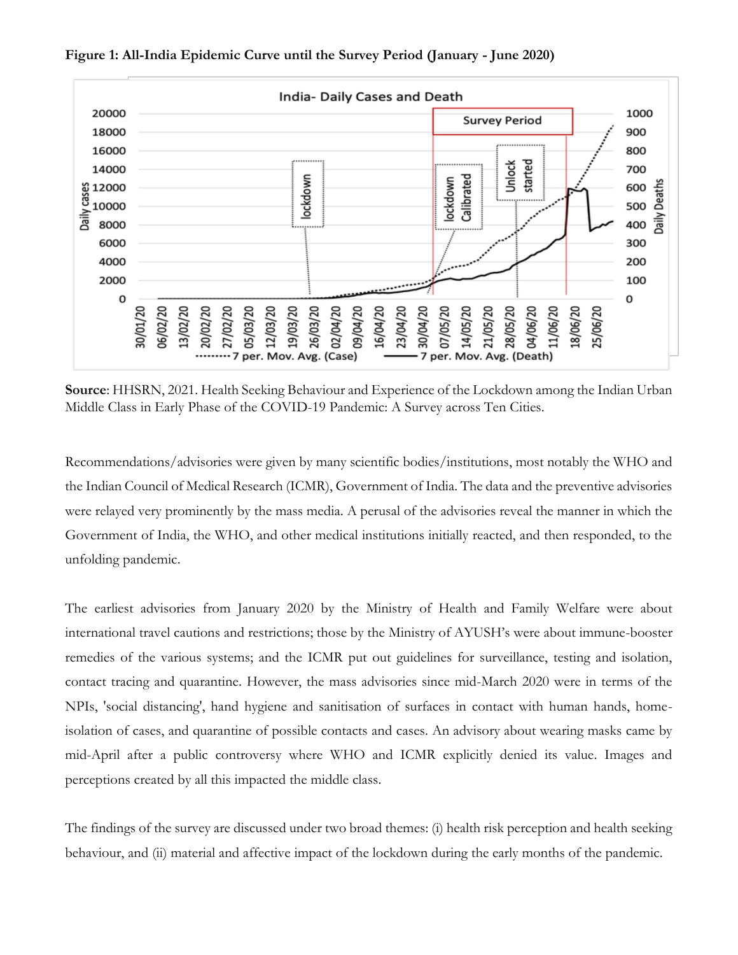

**Figure 1: All-India Epidemic Curve until the Survey Period (January - June 2020)**

**Source**: HHSRN, 2021. Health Seeking Behaviour and Experience of the Lockdown among the Indian Urban Middle Class in Early Phase of the COVID-19 Pandemic: A Survey across Ten Cities.

Recommendations/advisories were given by many scientific bodies/institutions, most notably the WHO and the Indian Council of Medical Research (ICMR), Government of India. The data and the preventive advisories were relayed very prominently by the mass media. A perusal of the advisories reveal the manner in which the Government of India, the WHO, and other medical institutions initially reacted, and then responded, to the unfolding pandemic.

The earliest advisories from January 2020 by the Ministry of Health and Family Welfare were about international travel cautions and restrictions; those by the Ministry of AYUSH's were about immune-booster remedies of the various systems; and the ICMR put out guidelines for surveillance, testing and isolation, contact tracing and quarantine. However, the mass advisories since mid-March 2020 were in terms of the NPIs, 'social distancing', hand hygiene and sanitisation of surfaces in contact with human hands, homeisolation of cases, and quarantine of possible contacts and cases. An advisory about wearing masks came by mid-April after a public controversy where WHO and ICMR explicitly denied its value. Images and perceptions created by all this impacted the middle class.

The findings of the survey are discussed under two broad themes: (i) health risk perception and health seeking behaviour, and (ii) material and affective impact of the lockdown during the early months of the pandemic.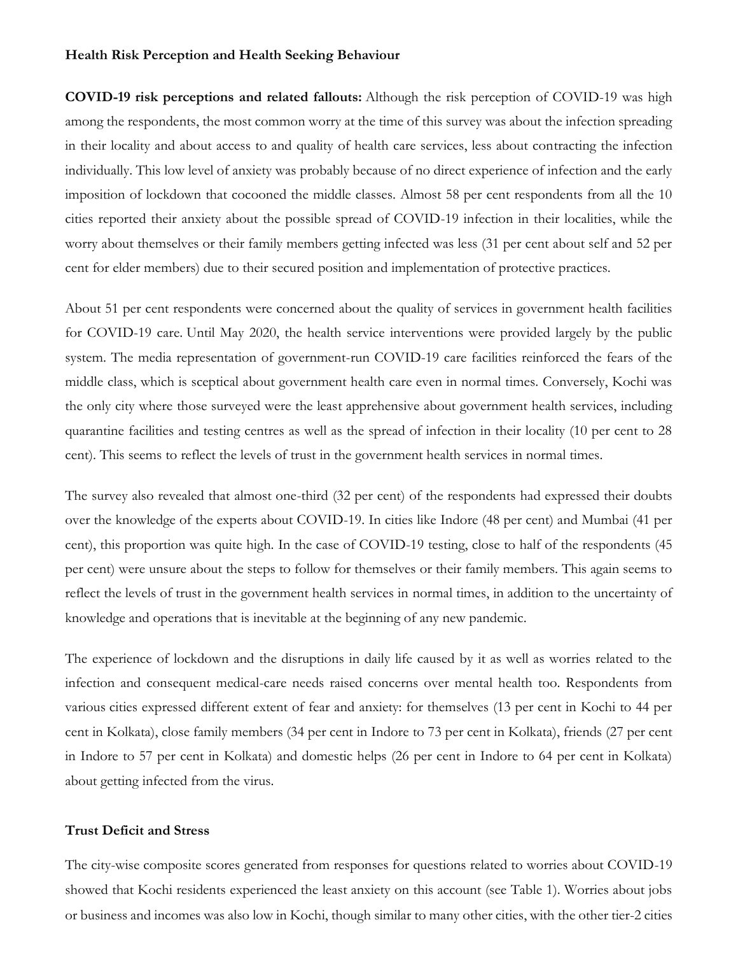#### **Health Risk Perception and Health Seeking Behaviour**

**COVID-19 risk perceptions and related fallouts:** Although the risk perception of COVID-19 was high among the respondents, the most common worry at the time of this survey was about the infection spreading in their locality and about access to and quality of health care services, less about contracting the infection individually. This low level of anxiety was probably because of no direct experience of infection and the early imposition of lockdown that cocooned the middle classes. Almost 58 per cent respondents from all the 10 cities reported their anxiety about the possible spread of COVID-19 infection in their localities, while the worry about themselves or their family members getting infected was less (31 per cent about self and 52 per cent for elder members) due to their secured position and implementation of protective practices.

About 51 per cent respondents were concerned about the quality of services in government health facilities for COVID-19 care. Until May 2020, the health service interventions were provided largely by the public system. The media representation of government-run COVID-19 care facilities reinforced the fears of the middle class, which is sceptical about government health care even in normal times. Conversely, Kochi was the only city where those surveyed were the least apprehensive about government health services, including quarantine facilities and testing centres as well as the spread of infection in their locality (10 per cent to 28 cent). This seems to reflect the levels of trust in the government health services in normal times.

The survey also revealed that almost one-third (32 per cent) of the respondents had expressed their doubts over the knowledge of the experts about COVID-19. In cities like Indore (48 per cent) and Mumbai (41 per cent), this proportion was quite high. In the case of COVID-19 testing, close to half of the respondents (45 per cent) were unsure about the steps to follow for themselves or their family members. This again seems to reflect the levels of trust in the government health services in normal times, in addition to the uncertainty of knowledge and operations that is inevitable at the beginning of any new pandemic.

The experience of lockdown and the disruptions in daily life caused by it as well as worries related to the infection and consequent medical-care needs raised concerns over mental health too. Respondents from various cities expressed different extent of fear and anxiety: for themselves (13 per cent in Kochi to 44 per cent in Kolkata), close family members (34 per cent in Indore to 73 per cent in Kolkata), friends (27 per cent in Indore to 57 per cent in Kolkata) and domestic helps (26 per cent in Indore to 64 per cent in Kolkata) about getting infected from the virus.

#### **Trust Deficit and Stress**

The city-wise composite scores generated from responses for questions related to worries about COVID-19 showed that Kochi residents experienced the least anxiety on this account (see Table 1). Worries about jobs or business and incomes was also low in Kochi, though similar to many other cities, with the other tier-2 cities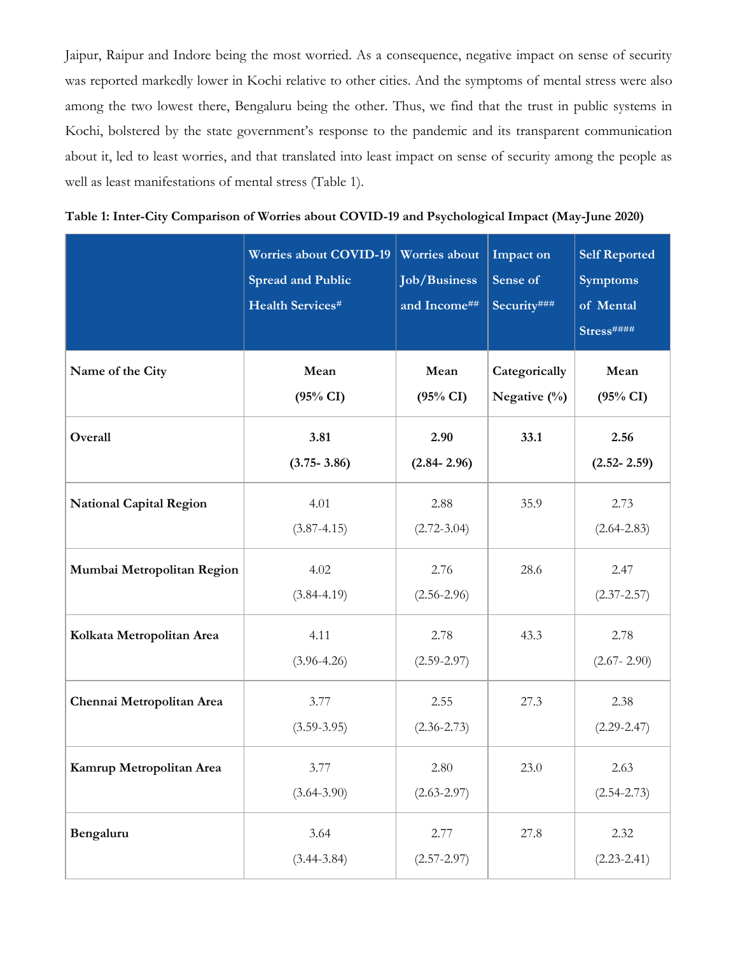Jaipur, Raipur and Indore being the most worried. As a consequence, negative impact on sense of security was reported markedly lower in Kochi relative to other cities. And the symptoms of mental stress were also among the two lowest there, Bengaluru being the other. Thus, we find that the trust in public systems in Kochi, bolstered by the state government's response to the pandemic and its transparent communication about it, led to least worries, and that translated into least impact on sense of security among the people as well as least manifestations of mental stress (Table 1).

| Table 1: Inter-City Comparison of Worries about COVID-19 and Psychological Impact (May-June 2020) |  |  |
|---------------------------------------------------------------------------------------------------|--|--|
|---------------------------------------------------------------------------------------------------|--|--|

|                                | <b>Worries about COVID-19</b><br><b>Spread and Public</b><br>Health Services# | <b>Worries</b> about<br><b>Job/Business</b><br>and Income## | Impact on<br>Sense of<br>Security### | <b>Self Reported</b><br><b>Symptoms</b><br>of Mental<br>Stress#### |
|--------------------------------|-------------------------------------------------------------------------------|-------------------------------------------------------------|--------------------------------------|--------------------------------------------------------------------|
| Name of the City               | Mean<br>$(95\% \text{ CI})$                                                   | Mean<br>$(95\% \text{ CI})$                                 | Categorically<br>Negative $(\%)$     | Mean<br>(95% CI)                                                   |
| Overall                        | 3.81<br>$(3.75 - 3.86)$                                                       | 2.90<br>$(2.84 - 2.96)$                                     | 33.1                                 | 2.56<br>$(2.52 - 2.59)$                                            |
| <b>National Capital Region</b> | 4.01<br>$(3.87 - 4.15)$                                                       | 2.88<br>$(2.72 - 3.04)$                                     | 35.9                                 | 2.73<br>$(2.64 - 2.83)$                                            |
| Mumbai Metropolitan Region     | 4.02<br>$(3.84 - 4.19)$                                                       | 2.76<br>$(2.56 - 2.96)$                                     | 28.6                                 | 2.47<br>$(2.37 - 2.57)$                                            |
| Kolkata Metropolitan Area      | 4.11<br>$(3.96 - 4.26)$                                                       | 2.78<br>$(2.59 - 2.97)$                                     | 43.3                                 | 2.78<br>$(2.67 - 2.90)$                                            |
| Chennai Metropolitan Area      | 3.77<br>$(3.59 - 3.95)$                                                       | 2.55<br>$(2.36 - 2.73)$                                     | 27.3                                 | 2.38<br>$(2.29 - 2.47)$                                            |
| Kamrup Metropolitan Area       | 3.77<br>$(3.64 - 3.90)$                                                       | 2.80<br>$(2.63 - 2.97)$                                     | 23.0                                 | 2.63<br>$(2.54 - 2.73)$                                            |
| Bengaluru                      | 3.64<br>$(3.44 - 3.84)$                                                       | 2.77<br>$(2.57 - 2.97)$                                     | 27.8                                 | 2.32<br>$(2.23 - 2.41)$                                            |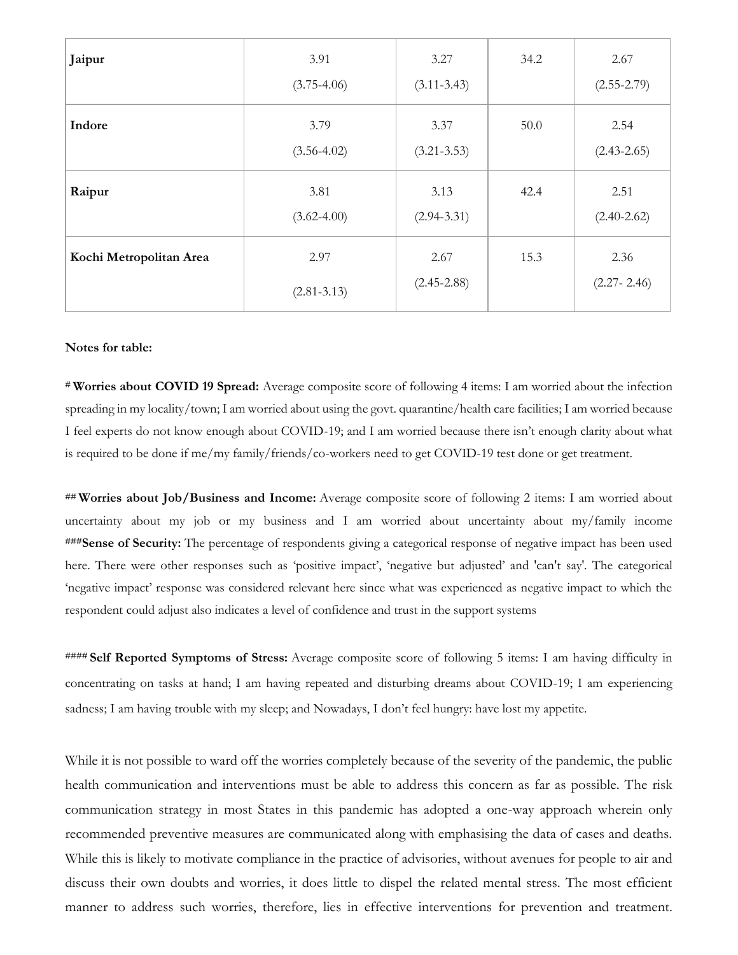| Jaipur                  | 3.91<br>$(3.75 - 4.06)$ | 3.27<br>$(3.11 - 3.43)$ | 34.2 | 2.67<br>$(2.55 - 2.79)$ |
|-------------------------|-------------------------|-------------------------|------|-------------------------|
| Indore                  | 3.79<br>$(3.56 - 4.02)$ | 3.37<br>$(3.21 - 3.53)$ | 50.0 | 2.54<br>$(2.43 - 2.65)$ |
| Raipur                  | 3.81<br>$(3.62 - 4.00)$ | 3.13<br>$(2.94 - 3.31)$ | 42.4 | 2.51<br>$(2.40 - 2.62)$ |
| Kochi Metropolitan Area | 2.97<br>$(2.81 - 3.13)$ | 2.67<br>$(2.45 - 2.88)$ | 15.3 | 2.36<br>$(2.27 - 2.46)$ |

#### **Notes for table:**

**# Worries about COVID 19 Spread:** Average composite score of following 4 items: I am worried about the infection spreading in my locality/town; I am worried about using the govt. quarantine/health care facilities; I am worried because I feel experts do not know enough about COVID-19; and I am worried because there isn't enough clarity about what is required to be done if me/my family/friends/co-workers need to get COVID-19 test done or get treatment.

**## Worries about Job/Business and Income:** Average composite score of following 2 items: I am worried about uncertainty about my job or my business and I am worried about uncertainty about my/family income **###Sense of Security:** The percentage of respondents giving a categorical response of negative impact has been used here. There were other responses such as 'positive impact', 'negative but adjusted' and 'can't say'. The categorical 'negative impact' response was considered relevant here since what was experienced as negative impact to which the respondent could adjust also indicates a level of confidence and trust in the support systems

**#### Self Reported Symptoms of Stress:** Average composite score of following 5 items: I am having difficulty in concentrating on tasks at hand; I am having repeated and disturbing dreams about COVID-19; I am experiencing sadness; I am having trouble with my sleep; and Nowadays, I don't feel hungry: have lost my appetite.

While it is not possible to ward off the worries completely because of the severity of the pandemic, the public health communication and interventions must be able to address this concern as far as possible. The risk communication strategy in most States in this pandemic has adopted a one-way approach wherein only recommended preventive measures are communicated along with emphasising the data of cases and deaths. While this is likely to motivate compliance in the practice of advisories, without avenues for people to air and discuss their own doubts and worries, it does little to dispel the related mental stress. The most efficient manner to address such worries, therefore, lies in effective interventions for prevention and treatment.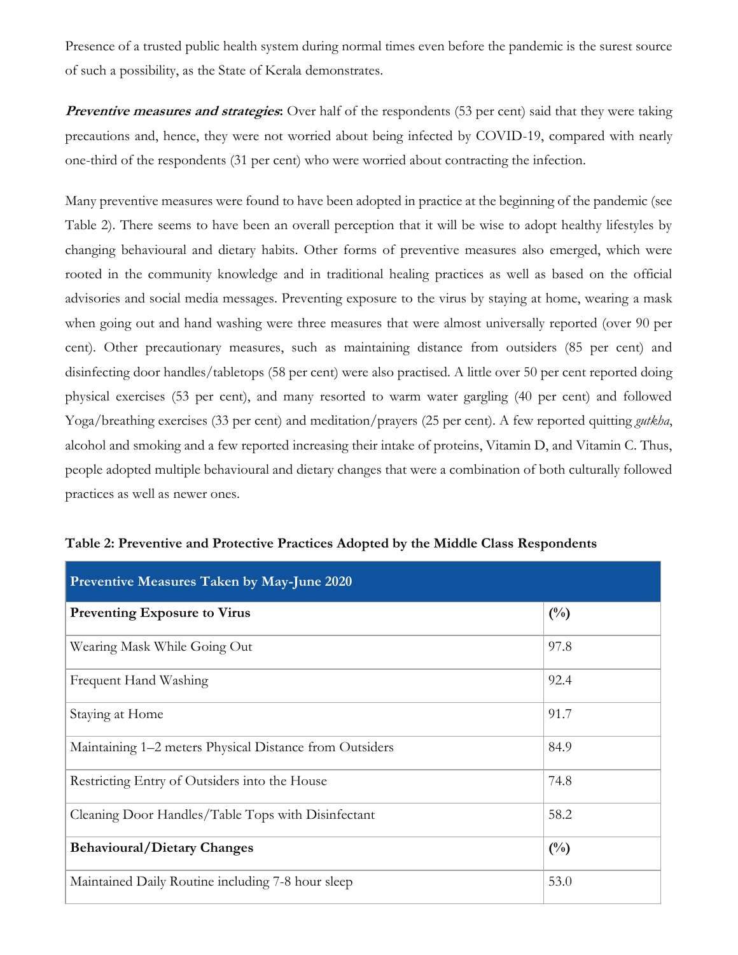Presence of a trusted public health system during normal times even before the pandemic is the surest source of such a possibility, as the State of Kerala demonstrates.

**Preventive measures and strategies:** Over half of the respondents (53 per cent) said that they were taking precautions and, hence, they were not worried about being infected by COVID-19, compared with nearly one-third of the respondents (31 per cent) who were worried about contracting the infection.

Many preventive measures were found to have been adopted in practice at the beginning of the pandemic (see Table 2). There seems to have been an overall perception that it will be wise to adopt healthy lifestyles by changing behavioural and dietary habits. Other forms of preventive measures also emerged, which were rooted in the community knowledge and in traditional healing practices as well as based on the official advisories and social media messages. Preventing exposure to the virus by staying at home, wearing a mask when going out and hand washing were three measures that were almost universally reported (over 90 per cent). Other precautionary measures, such as maintaining distance from outsiders (85 per cent) and disinfecting door handles/tabletops (58 per cent) were also practised. A little over 50 per cent reported doing physical exercises (53 per cent), and many resorted to warm water gargling (40 per cent) and followed Yoga/breathing exercises (33 per cent) and meditation/prayers (25 per cent). A few reported quitting *gutkha*, alcohol and smoking and a few reported increasing their intake of proteins, Vitamin D, and Vitamin C. Thus, people adopted multiple behavioural and dietary changes that were a combination of both culturally followed practices as well as newer ones.

| <b>Preventive Measures Taken by May-June 2020</b>          |               |  |  |
|------------------------------------------------------------|---------------|--|--|
| <b>Preventing Exposure to Virus</b>                        | $(^{0}/_{0})$ |  |  |
| Wearing Mask While Going Out                               | 97.8          |  |  |
| Frequent Hand Washing                                      | 92.4          |  |  |
| Staying at Home                                            | 91.7          |  |  |
| Maintaining 1–2 meters Physical Distance from Outsiders    | 84.9          |  |  |
| Restricting Entry of Outsiders into the House              | 74.8          |  |  |
| 58.2<br>Cleaning Door Handles/Table Tops with Disinfectant |               |  |  |
| <b>Behavioural/Dietary Changes</b><br>$\binom{0}{0}$       |               |  |  |
| Maintained Daily Routine including 7-8 hour sleep          | 53.0          |  |  |

| Table 2: Preventive and Protective Practices Adopted by the Middle Class Respondents |
|--------------------------------------------------------------------------------------|
|--------------------------------------------------------------------------------------|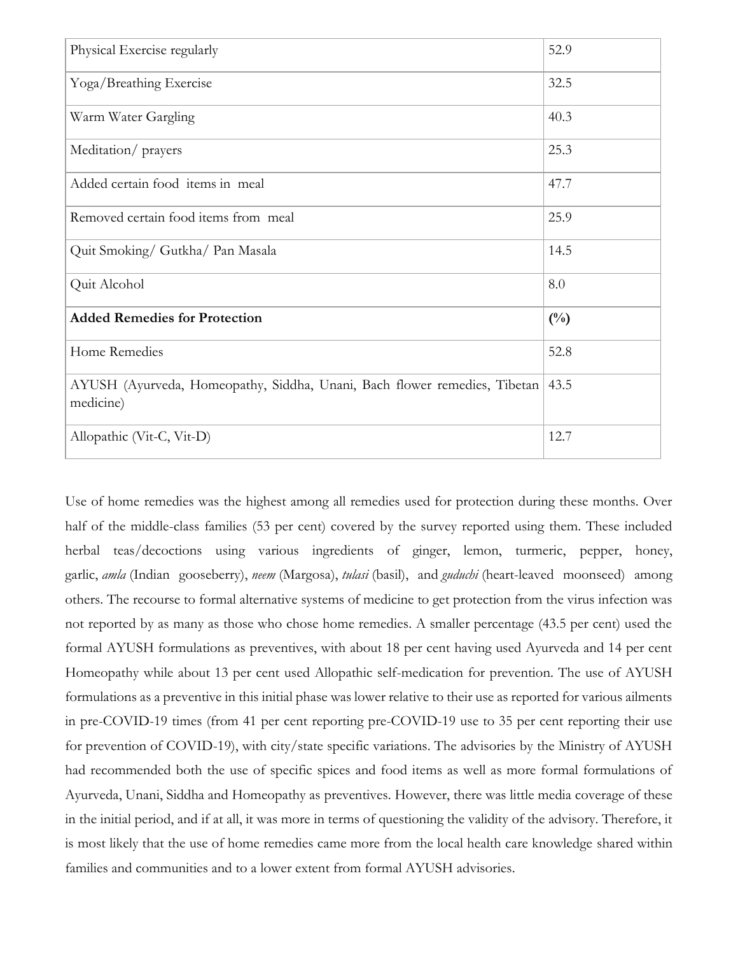| Physical Exercise regularly                                                            | 52.9          |
|----------------------------------------------------------------------------------------|---------------|
| Yoga/Breathing Exercise                                                                | 32.5          |
| Warm Water Gargling                                                                    | 40.3          |
| Meditation/prayers                                                                     | 25.3          |
| Added certain food items in meal                                                       | 47.7          |
| Removed certain food items from meal                                                   | 25.9          |
| Quit Smoking/ Gutkha/ Pan Masala                                                       | 14.5          |
| Quit Alcohol                                                                           | 8.0           |
| <b>Added Remedies for Protection</b>                                                   | $(^{0}/_{0})$ |
| Home Remedies                                                                          | 52.8          |
| AYUSH (Ayurveda, Homeopathy, Siddha, Unani, Bach flower remedies, Tibetan<br>medicine) | 43.5          |
| Allopathic (Vit-C, Vit-D)                                                              | 12.7          |

Use of home remedies was the highest among all remedies used for protection during these months. Over half of the middle-class families (53 per cent) covered by the survey reported using them. These included herbal teas/decoctions using various ingredients of ginger, lemon, turmeric, pepper, honey, garlic, *amla* (Indian gooseberry), *neem* (Margosa), *tulasi* (basil), and *guduchi* (heart-leaved moonseed) among others. The recourse to formal alternative systems of medicine to get protection from the virus infection was not reported by as many as those who chose home remedies. A smaller percentage (43.5 per cent) used the formal AYUSH formulations as preventives, with about 18 per cent having used Ayurveda and 14 per cent Homeopathy while about 13 per cent used Allopathic self-medication for prevention. The use of AYUSH formulations as a preventive in this initial phase was lower relative to their use as reported for various ailments in pre-COVID-19 times (from 41 per cent reporting pre-COVID-19 use to 35 per cent reporting their use for prevention of COVID-19), with city/state specific variations. The advisories by the Ministry of AYUSH had recommended both the use of specific spices and food items as well as more formal formulations of Ayurveda, Unani, Siddha and Homeopathy as preventives. However, there was little media coverage of these in the initial period, and if at all, it was more in terms of questioning the validity of the advisory. Therefore, it is most likely that the use of home remedies came more from the local health care knowledge shared within families and communities and to a lower extent from formal AYUSH advisories.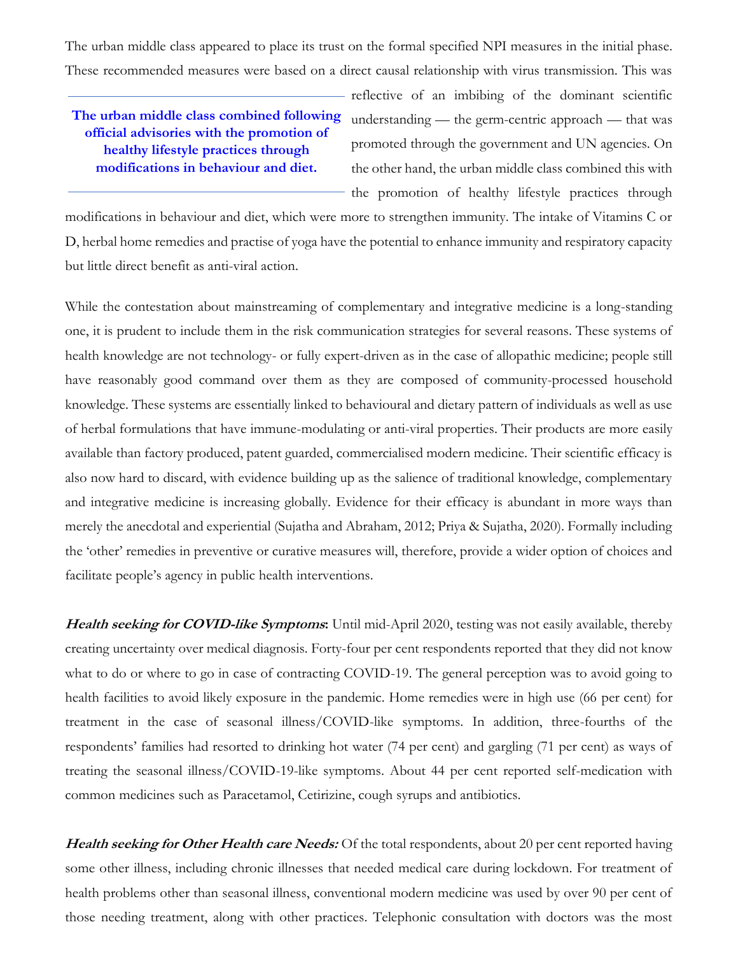The urban middle class appeared to place its trust on the formal specified NPI measures in the initial phase. These recommended measures were based on a direct causal relationship with virus transmission. This was

# **The urban middle class combined following official advisories with the promotion of healthy lifestyle practices through modifications in behaviour and diet.**

reflective of an imbibing of the dominant scientific understanding — the germ-centric approach — that was promoted through the government and UN agencies. On the other hand, the urban middle class combined this with the promotion of healthy lifestyle practices through

modifications in behaviour and diet, which were more to strengthen immunity. The intake of Vitamins C or D, herbal home remedies and practise of yoga have the potential to enhance immunity and respiratory capacity but little direct benefit as anti-viral action.

While the contestation about mainstreaming of complementary and integrative medicine is a long-standing one, it is prudent to include them in the risk communication strategies for several reasons. These systems of health knowledge are not technology- or fully expert-driven as in the case of allopathic medicine; people still have reasonably good command over them as they are composed of community-processed household knowledge. These systems are essentially linked to behavioural and dietary pattern of individuals as well as use of herbal formulations that have immune-modulating or anti-viral properties. Their products are more easily available than factory produced, patent guarded, commercialised modern medicine. Their scientific efficacy is also now hard to discard, with evidence building up as the salience of traditional knowledge, complementary and integrative medicine is increasing globally. Evidence for their efficacy is abundant in more ways than merely the anecdotal and experiential (Sujatha and Abraham, 2012; Priya & Sujatha, 2020). Formally including the 'other' remedies in preventive or curative measures will, therefore, provide a wider option of choices and facilitate people's agency in public health interventions.

**Health seeking for COVID-like Symptoms:** Until mid-April 2020, testing was not easily available, thereby creating uncertainty over medical diagnosis. Forty-four per cent respondents reported that they did not know what to do or where to go in case of contracting COVID-19. The general perception was to avoid going to health facilities to avoid likely exposure in the pandemic. Home remedies were in high use (66 per cent) for treatment in the case of seasonal illness/COVID-like symptoms. In addition, three-fourths of the respondents' families had resorted to drinking hot water (74 per cent) and gargling (71 per cent) as ways of treating the seasonal illness/COVID-19-like symptoms. About 44 per cent reported self-medication with common medicines such as Paracetamol, Cetirizine, cough syrups and antibiotics.

**Health seeking for Other Health care Needs:** Of the total respondents, about 20 per cent reported having some other illness, including chronic illnesses that needed medical care during lockdown. For treatment of health problems other than seasonal illness, conventional modern medicine was used by over 90 per cent of those needing treatment, along with other practices. Telephonic consultation with doctors was the most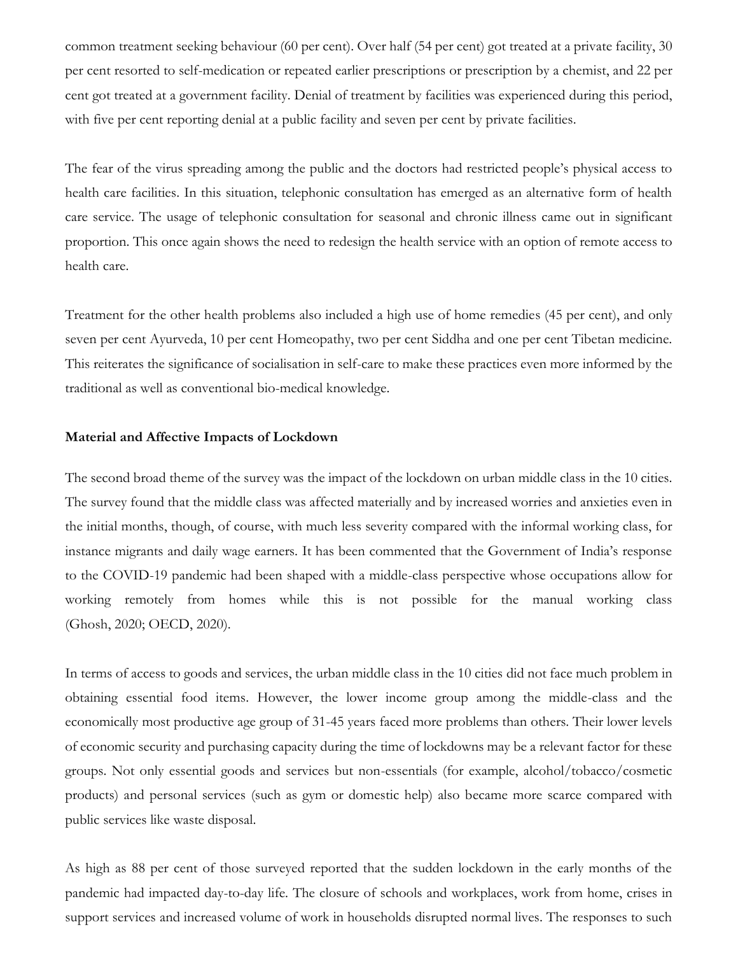common treatment seeking behaviour (60 per cent). Over half (54 per cent) got treated at a private facility, 30 per cent resorted to self-medication or repeated earlier prescriptions or prescription by a chemist, and 22 per cent got treated at a government facility. Denial of treatment by facilities was experienced during this period, with five per cent reporting denial at a public facility and seven per cent by private facilities.

The fear of the virus spreading among the public and the doctors had restricted people's physical access to health care facilities. In this situation, telephonic consultation has emerged as an alternative form of health care service. The usage of telephonic consultation for seasonal and chronic illness came out in significant proportion. This once again shows the need to redesign the health service with an option of remote access to health care.

Treatment for the other health problems also included a high use of home remedies (45 per cent), and only seven per cent Ayurveda, 10 per cent Homeopathy, two per cent Siddha and one per cent Tibetan medicine. This reiterates the significance of socialisation in self-care to make these practices even more informed by the traditional as well as conventional bio-medical knowledge.

# **Material and Affective Impacts of Lockdown**

The second broad theme of the survey was the impact of the lockdown on urban middle class in the 10 cities. The survey found that the middle class was affected materially and by increased worries and anxieties even in the initial months, though, of course, with much less severity compared with the informal working class, for instance migrants and daily wage earners. It has been commented that the Government of India's response to the COVID-19 pandemic had been shaped with a middle-class perspective whose occupations allow for working remotely from homes while this is not possible for the manual working class (Ghosh, 2020; OECD, 2020).

In terms of access to goods and services, the urban middle class in the 10 cities did not face much problem in obtaining essential food items. However, the lower income group among the middle-class and the economically most productive age group of 31-45 years faced more problems than others. Their lower levels of economic security and purchasing capacity during the time of lockdowns may be a relevant factor for these groups. Not only essential goods and services but non-essentials (for example, alcohol/tobacco/cosmetic products) and personal services (such as gym or domestic help) also became more scarce compared with public services like waste disposal.

As high as 88 per cent of those surveyed reported that the sudden lockdown in the early months of the pandemic had impacted day-to-day life. The closure of schools and workplaces, work from home, crises in support services and increased volume of work in households disrupted normal lives. The responses to such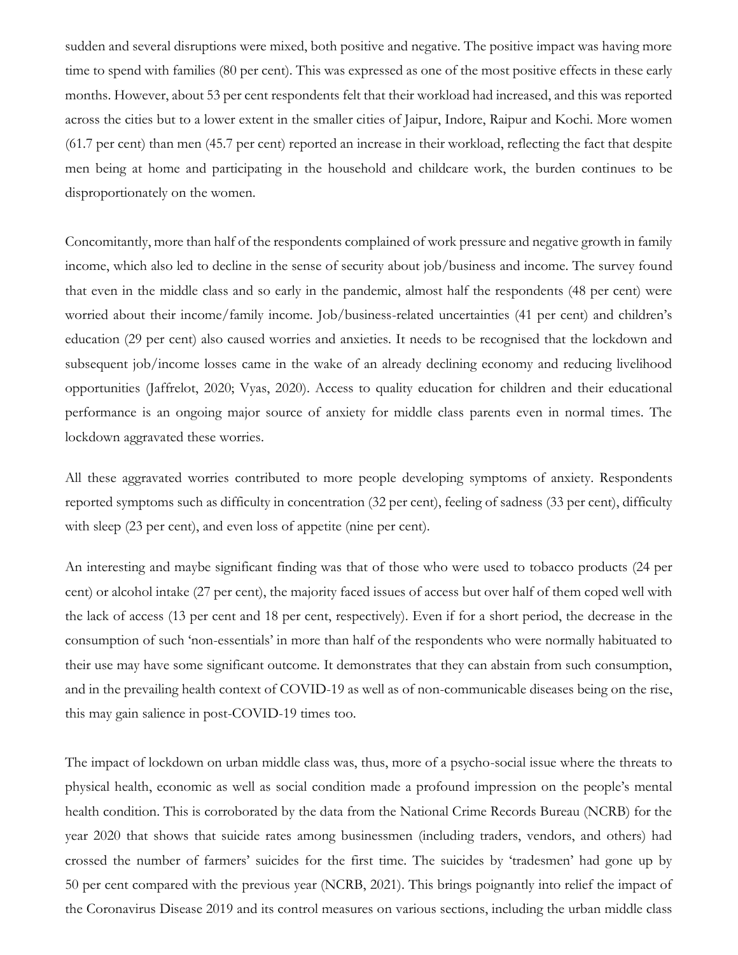sudden and several disruptions were mixed, both positive and negative. The positive impact was having more time to spend with families (80 per cent). This was expressed as one of the most positive effects in these early months. However, about 53 per cent respondents felt that their workload had increased, and this was reported across the cities but to a lower extent in the smaller cities of Jaipur, Indore, Raipur and Kochi. More women (61.7 per cent) than men (45.7 per cent) reported an increase in their workload, reflecting the fact that despite men being at home and participating in the household and childcare work, the burden continues to be disproportionately on the women.

Concomitantly, more than half of the respondents complained of work pressure and negative growth in family income, which also led to decline in the sense of security about job/business and income. The survey found that even in the middle class and so early in the pandemic, almost half the respondents (48 per cent) were worried about their income/family income. Job/business-related uncertainties (41 per cent) and children's education (29 per cent) also caused worries and anxieties. It needs to be recognised that the lockdown and subsequent job/income losses came in the wake of an already declining economy and reducing livelihood opportunities (Jaffrelot, 2020; Vyas, 2020). Access to quality education for children and their educational performance is an ongoing major source of anxiety for middle class parents even in normal times. The lockdown aggravated these worries.

All these aggravated worries contributed to more people developing symptoms of anxiety. Respondents reported symptoms such as difficulty in concentration (32 per cent), feeling of sadness (33 per cent), difficulty with sleep (23 per cent), and even loss of appetite (nine per cent).

An interesting and maybe significant finding was that of those who were used to tobacco products (24 per cent) or alcohol intake (27 per cent), the majority faced issues of access but over half of them coped well with the lack of access (13 per cent and 18 per cent, respectively). Even if for a short period, the decrease in the consumption of such 'non-essentials' in more than half of the respondents who were normally habituated to their use may have some significant outcome. It demonstrates that they can abstain from such consumption, and in the prevailing health context of COVID-19 as well as of non-communicable diseases being on the rise, this may gain salience in post-COVID-19 times too.

The impact of lockdown on urban middle class was, thus, more of a psycho-social issue where the threats to physical health, economic as well as social condition made a profound impression on the people's mental health condition. This is corroborated by the data from the National Crime Records Bureau (NCRB) for the year 2020 that shows that suicide rates among businessmen (including traders, vendors, and others) had crossed the number of farmers' suicides for the first time. The suicides by 'tradesmen' had gone up by 50 per cent compared with the previous year (NCRB, 2021). This brings poignantly into relief the impact of the Coronavirus Disease 2019 and its control measures on various sections, including the urban middle class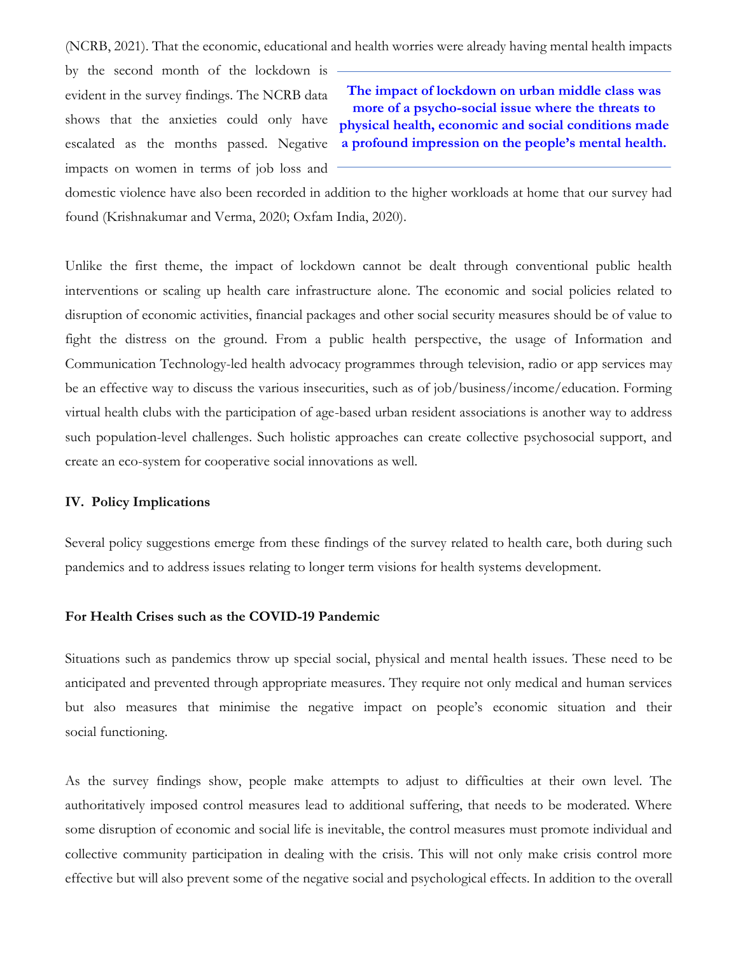(NCRB, 2021). That the economic, educational and health worries were already having mental health impacts

by the second month of the lockdown is evident in the survey findings. The NCRB data shows that the anxieties could only have escalated as the months passed. Negative impacts on women in terms of job loss and

**The impact of lockdown on urban middle class was more of a psycho-social issue where the threats to physical health, economic and social conditions made a profound impression on the people's mental health.**

domestic violence have also been recorded in addition to the higher workloads at home that our survey had found (Krishnakumar and Verma, 2020; Oxfam India, 2020).

Unlike the first theme, the impact of lockdown cannot be dealt through conventional public health interventions or scaling up health care infrastructure alone. The economic and social policies related to disruption of economic activities, financial packages and other social security measures should be of value to fight the distress on the ground. From a public health perspective, the usage of Information and Communication Technology-led health advocacy programmes through television, radio or app services may be an effective way to discuss the various insecurities, such as of job/business/income/education. Forming virtual health clubs with the participation of age-based urban resident associations is another way to address such population-level challenges. Such holistic approaches can create collective psychosocial support, and create an eco-system for cooperative social innovations as well.

## **IV. Policy Implications**

Several policy suggestions emerge from these findings of the survey related to health care, both during such pandemics and to address issues relating to longer term visions for health systems development.

# **For Health Crises such as the COVID-19 Pandemic**

Situations such as pandemics throw up special social, physical and mental health issues. These need to be anticipated and prevented through appropriate measures. They require not only medical and human services but also measures that minimise the negative impact on people's economic situation and their social functioning.

As the survey findings show, people make attempts to adjust to difficulties at their own level. The authoritatively imposed control measures lead to additional suffering, that needs to be moderated. Where some disruption of economic and social life is inevitable, the control measures must promote individual and collective community participation in dealing with the crisis. This will not only make crisis control more effective but will also prevent some of the negative social and psychological effects. In addition to the overall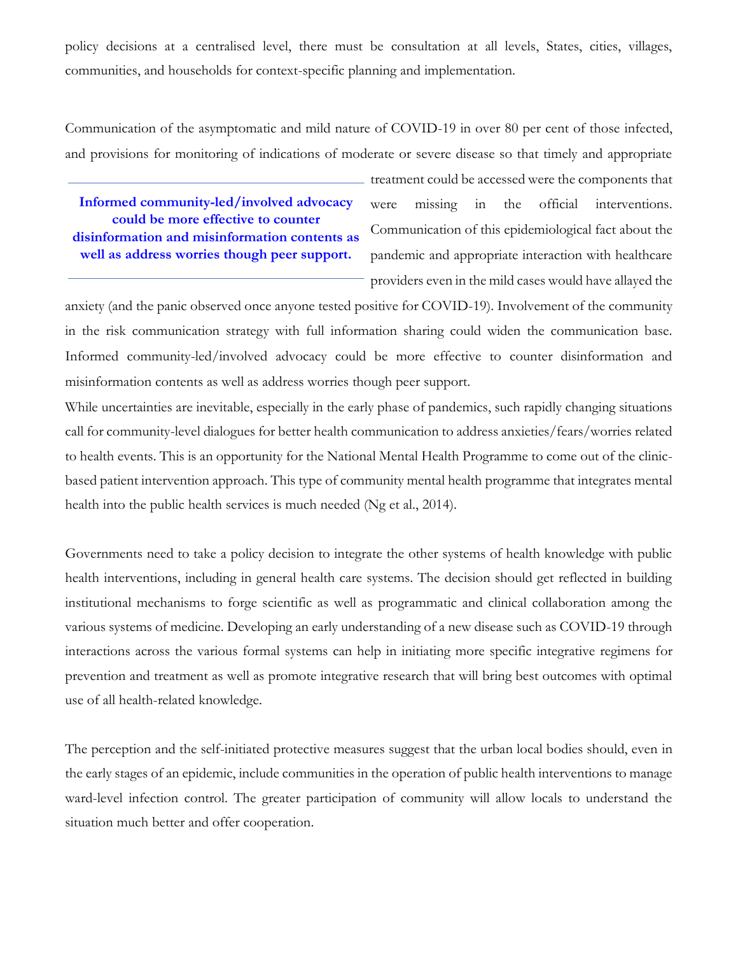policy decisions at a centralised level, there must be consultation at all levels, States, cities, villages, communities, and households for context-specific planning and implementation.

Communication of the asymptomatic and mild nature of COVID-19 in over 80 per cent of those infected, and provisions for monitoring of indications of moderate or severe disease so that timely and appropriate

**Informed community-led/involved advocacy could be more effective to counter disinformation and misinformation contents as well as address worries though peer support.**

treatment could be accessed were the components that were missing in the official interventions. Communication of this epidemiological fact about the pandemic and appropriate interaction with healthcare providers even in the mild cases would have allayed the

anxiety (and the panic observed once anyone tested positive for COVID-19). Involvement of the community in the risk communication strategy with full information sharing could widen the communication base. Informed community-led/involved advocacy could be more effective to counter disinformation and misinformation contents as well as address worries though peer support.

While uncertainties are inevitable, especially in the early phase of pandemics, such rapidly changing situations call for community-level dialogues for better health communication to address anxieties/fears/worries related to health events. This is an opportunity for the National Mental Health Programme to come out of the clinicbased patient intervention approach. This type of community mental health programme that integrates mental health into the public health services is much needed (Ng et al., 2014).

Governments need to take a policy decision to integrate the other systems of health knowledge with public health interventions, including in general health care systems. The decision should get reflected in building institutional mechanisms to forge scientific as well as programmatic and clinical collaboration among the various systems of medicine. Developing an early understanding of a new disease such as COVID-19 through interactions across the various formal systems can help in initiating more specific integrative regimens for prevention and treatment as well as promote integrative research that will bring best outcomes with optimal use of all health-related knowledge.

The perception and the self-initiated protective measures suggest that the urban local bodies should, even in the early stages of an epidemic, include communities in the operation of public health interventions to manage ward-level infection control. The greater participation of community will allow locals to understand the situation much better and offer cooperation.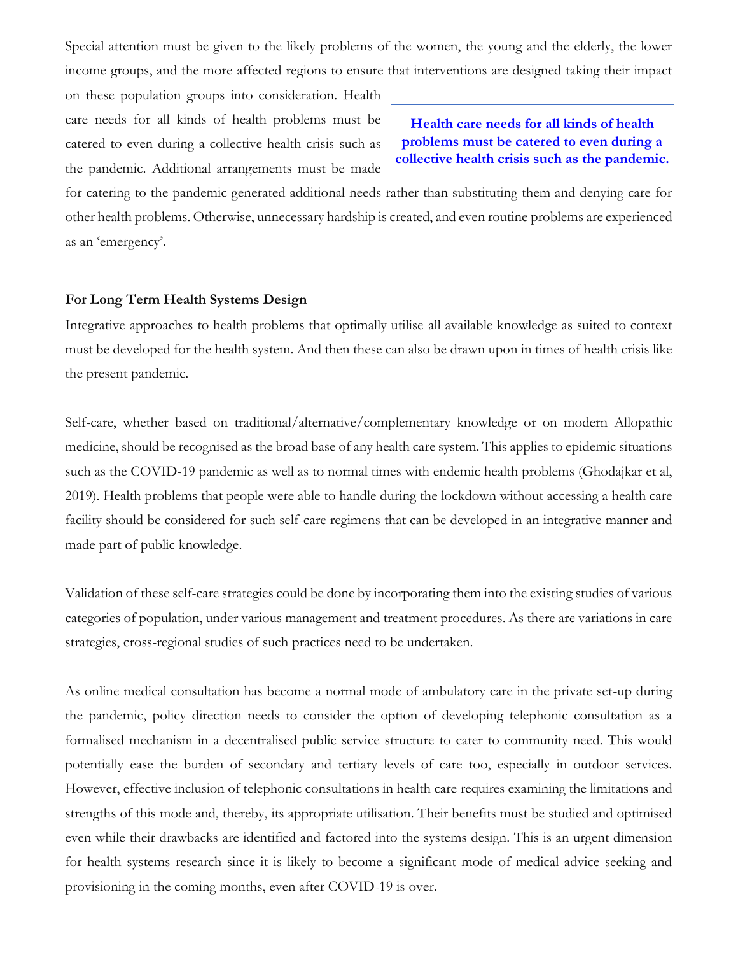Special attention must be given to the likely problems of the women, the young and the elderly, the lower income groups, and the more affected regions to ensure that interventions are designed taking their impact

on these population groups into consideration. Health care needs for all kinds of health problems must be catered to even during a collective health crisis such as the pandemic. Additional arrangements must be made

**Health care needs for all kinds of health problems must be catered to even during a collective health crisis such as the pandemic.**

for catering to the pandemic generated additional needs rather than substituting them and denying care for other health problems. Otherwise, unnecessary hardship is created, and even routine problems are experienced as an 'emergency'.

### **For Long Term Health Systems Design**

Integrative approaches to health problems that optimally utilise all available knowledge as suited to context must be developed for the health system. And then these can also be drawn upon in times of health crisis like the present pandemic.

Self-care, whether based on traditional/alternative/complementary knowledge or on modern Allopathic medicine, should be recognised as the broad base of any health care system. This applies to epidemic situations such as the COVID-19 pandemic as well as to normal times with endemic health problems (Ghodajkar et al, 2019). Health problems that people were able to handle during the lockdown without accessing a health care facility should be considered for such self-care regimens that can be developed in an integrative manner and made part of public knowledge.

Validation of these self-care strategies could be done by incorporating them into the existing studies of various categories of population, under various management and treatment procedures. As there are variations in care strategies, cross-regional studies of such practices need to be undertaken.

As online medical consultation has become a normal mode of ambulatory care in the private set-up during the pandemic, policy direction needs to consider the option of developing telephonic consultation as a formalised mechanism in a decentralised public service structure to cater to community need. This would potentially ease the burden of secondary and tertiary levels of care too, especially in outdoor services. However, effective inclusion of telephonic consultations in health care requires examining the limitations and strengths of this mode and, thereby, its appropriate utilisation. Their benefits must be studied and optimised even while their drawbacks are identified and factored into the systems design. This is an urgent dimension for health systems research since it is likely to become a significant mode of medical advice seeking and provisioning in the coming months, even after COVID-19 is over.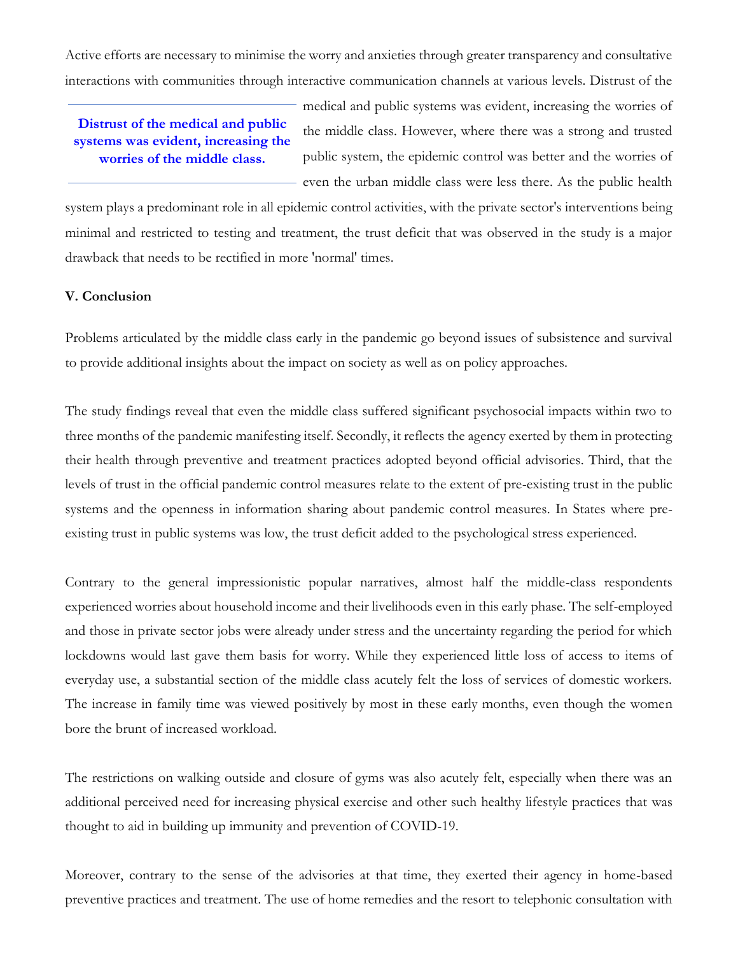Active efforts are necessary to minimise the worry and anxieties through greater transparency and consultative interactions with communities through interactive communication channels at various levels. Distrust of the

# **Distrust of the medical and public systems was evident, increasing the worries of the middle class.**

medical and public systems was evident, increasing the worries of the middle class. However, where there was a strong and trusted public system, the epidemic control was better and the worries of even the urban middle class were less there. As the public health

system plays a predominant role in all epidemic control activities, with the private sector's interventions being minimal and restricted to testing and treatment, the trust deficit that was observed in the study is a major drawback that needs to be rectified in more 'normal' times.

# **V. Conclusion**

Problems articulated by the middle class early in the pandemic go beyond issues of subsistence and survival to provide additional insights about the impact on society as well as on policy approaches.

The study findings reveal that even the middle class suffered significant psychosocial impacts within two to three months of the pandemic manifesting itself. Secondly, it reflects the agency exerted by them in protecting their health through preventive and treatment practices adopted beyond official advisories. Third, that the levels of trust in the official pandemic control measures relate to the extent of pre-existing trust in the public systems and the openness in information sharing about pandemic control measures. In States where preexisting trust in public systems was low, the trust deficit added to the psychological stress experienced.

Contrary to the general impressionistic popular narratives, almost half the middle-class respondents experienced worries about household income and their livelihoods even in this early phase. The self-employed and those in private sector jobs were already under stress and the uncertainty regarding the period for which lockdowns would last gave them basis for worry. While they experienced little loss of access to items of everyday use, a substantial section of the middle class acutely felt the loss of services of domestic workers. The increase in family time was viewed positively by most in these early months, even though the women bore the brunt of increased workload.

The restrictions on walking outside and closure of gyms was also acutely felt, especially when there was an additional perceived need for increasing physical exercise and other such healthy lifestyle practices that was thought to aid in building up immunity and prevention of COVID-19.

Moreover, contrary to the sense of the advisories at that time, they exerted their agency in home-based preventive practices and treatment. The use of home remedies and the resort to telephonic consultation with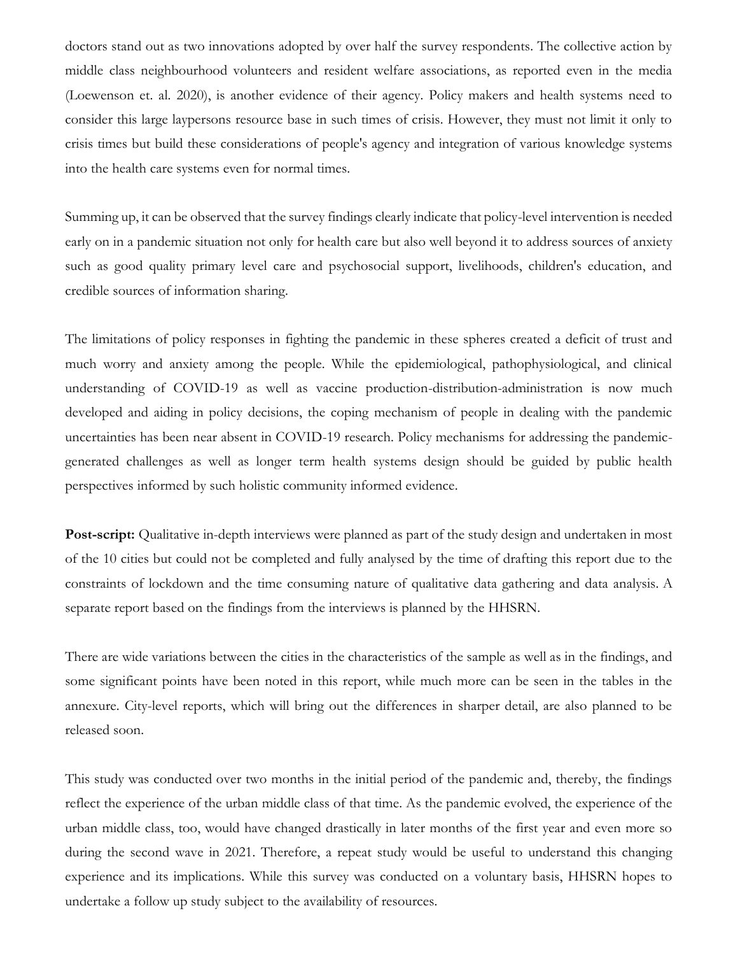doctors stand out as two innovations adopted by over half the survey respondents. The collective action by middle class neighbourhood volunteers and resident welfare associations, as reported even in the media (Loewenson et. al. 2020), is another evidence of their agency. Policy makers and health systems need to consider this large laypersons resource base in such times of crisis. However, they must not limit it only to crisis times but build these considerations of people's agency and integration of various knowledge systems into the health care systems even for normal times.

Summing up, it can be observed that the survey findings clearly indicate that policy-level intervention is needed early on in a pandemic situation not only for health care but also well beyond it to address sources of anxiety such as good quality primary level care and psychosocial support, livelihoods, children's education, and credible sources of information sharing.

The limitations of policy responses in fighting the pandemic in these spheres created a deficit of trust and much worry and anxiety among the people. While the epidemiological, pathophysiological, and clinical understanding of COVID-19 as well as vaccine production-distribution-administration is now much developed and aiding in policy decisions, the coping mechanism of people in dealing with the pandemic uncertainties has been near absent in COVID-19 research. Policy mechanisms for addressing the pandemicgenerated challenges as well as longer term health systems design should be guided by public health perspectives informed by such holistic community informed evidence.

**Post-script:** Qualitative in-depth interviews were planned as part of the study design and undertaken in most of the 10 cities but could not be completed and fully analysed by the time of drafting this report due to the constraints of lockdown and the time consuming nature of qualitative data gathering and data analysis. A separate report based on the findings from the interviews is planned by the HHSRN.

There are wide variations between the cities in the characteristics of the sample as well as in the findings, and some significant points have been noted in this report, while much more can be seen in the tables in the annexure. City-level reports, which will bring out the differences in sharper detail, are also planned to be released soon.

This study was conducted over two months in the initial period of the pandemic and, thereby, the findings reflect the experience of the urban middle class of that time. As the pandemic evolved, the experience of the urban middle class, too, would have changed drastically in later months of the first year and even more so during the second wave in 2021. Therefore, a repeat study would be useful to understand this changing experience and its implications. While this survey was conducted on a voluntary basis, HHSRN hopes to undertake a follow up study subject to the availability of resources.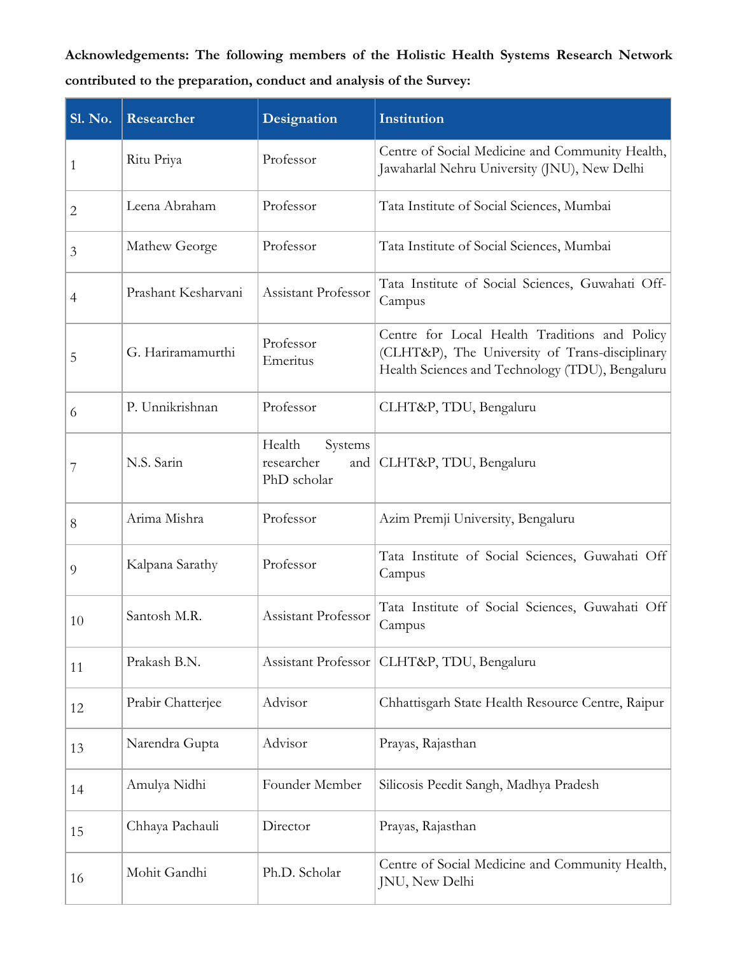**Acknowledgements: The following members of the Holistic Health Systems Research Network contributed to the preparation, conduct and analysis of the Survey:**

| <b>Sl. No.</b> | Researcher          | Designation                                           | Institution                                                                                                                                        |
|----------------|---------------------|-------------------------------------------------------|----------------------------------------------------------------------------------------------------------------------------------------------------|
| 1              | Ritu Priya          | Professor                                             | Centre of Social Medicine and Community Health,<br>Jawaharlal Nehru University (JNU), New Delhi                                                    |
| $\mathbf{2}$   | Leena Abraham       | Professor                                             | Tata Institute of Social Sciences, Mumbai                                                                                                          |
| 3              | Mathew George       | Professor                                             | Tata Institute of Social Sciences, Mumbai                                                                                                          |
| $\overline{4}$ | Prashant Kesharvani | Assistant Professor                                   | Tata Institute of Social Sciences, Guwahati Off-<br>Campus                                                                                         |
| 5              | G. Hariramamurthi   | Professor<br>Emeritus                                 | Centre for Local Health Traditions and Policy<br>(CLHT&P), The University of Trans-disciplinary<br>Health Sciences and Technology (TDU), Bengaluru |
| 6              | P. Unnikrishnan     | Professor                                             | CLHT&P, TDU, Bengaluru                                                                                                                             |
| 7              | N.S. Sarin          | Health<br>Systems<br>researcher<br>and<br>PhD scholar | CLHT&P, TDU, Bengaluru                                                                                                                             |
| 8              | Arima Mishra        | Professor                                             | Azim Premji University, Bengaluru                                                                                                                  |
| 9              | Kalpana Sarathy     | Professor                                             | Tata Institute of Social Sciences, Guwahati Off<br>Campus                                                                                          |
| 10             | Santosh M.R.        | Assistant Professor                                   | Tata Institute of Social Sciences, Guwahati Off<br>Campus                                                                                          |
| 11             | Prakash B.N.        | Assistant Professor                                   | CLHT&P, TDU, Bengaluru                                                                                                                             |
| 12             | Prabir Chatterjee   | Advisor                                               | Chhattisgarh State Health Resource Centre, Raipur                                                                                                  |
| 13             | Narendra Gupta      | Advisor                                               | Prayas, Rajasthan                                                                                                                                  |
| 14             | Amulya Nidhi        | Founder Member                                        | Silicosis Peedit Sangh, Madhya Pradesh                                                                                                             |
| 15             | Chhaya Pachauli     | Director                                              | Prayas, Rajasthan                                                                                                                                  |
| 16             | Mohit Gandhi        | Ph.D. Scholar                                         | Centre of Social Medicine and Community Health,<br>JNU, New Delhi                                                                                  |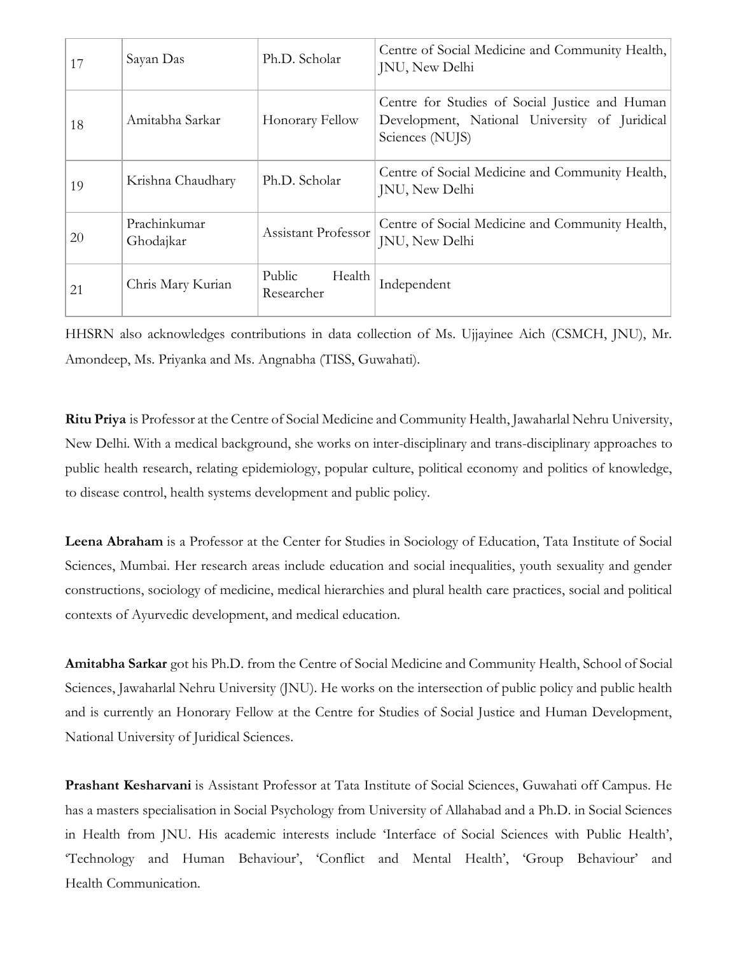| 17 | Sayan Das                 | Ph.D. Scholar                  | Centre of Social Medicine and Community Health,<br>JNU, New Delhi                                                  |
|----|---------------------------|--------------------------------|--------------------------------------------------------------------------------------------------------------------|
| 18 | Amitabha Sarkar           | Honorary Fellow                | Centre for Studies of Social Justice and Human<br>Development, National University of Juridical<br>Sciences (NUJS) |
| 19 | Krishna Chaudhary         | Ph.D. Scholar                  | Centre of Social Medicine and Community Health,<br>JNU, New Delhi                                                  |
| 20 | Prachinkumar<br>Ghodajkar | Assistant Professor            | Centre of Social Medicine and Community Health,<br>JNU, New Delhi                                                  |
| 21 | Chris Mary Kurian         | Public<br>Health<br>Researcher | Independent                                                                                                        |

HHSRN also acknowledges contributions in data collection of Ms. Ujjayinee Aich (CSMCH, JNU), Mr. Amondeep, Ms. Priyanka and Ms. Angnabha (TISS, Guwahati).

**Ritu Priya** is Professor at the Centre of Social Medicine and Community Health, Jawaharlal Nehru University, New Delhi. With a medical background, she works on inter-disciplinary and trans-disciplinary approaches to public health research, relating epidemiology, popular culture, political economy and politics of knowledge, to disease control, health systems development and public policy.

**Leena Abraham** is a Professor at the Center for Studies in Sociology of Education, Tata Institute of Social Sciences, Mumbai. Her research areas include education and social inequalities, youth sexuality and gender constructions, sociology of medicine, medical hierarchies and plural health care practices, social and political contexts of Ayurvedic development, and medical education.

**Amitabha Sarkar** got his Ph.D. from the Centre of Social Medicine and Community Health, School of Social Sciences, Jawaharlal Nehru University (JNU). He works on the intersection of public policy and public health and is currently an Honorary Fellow at the Centre for Studies of Social Justice and Human Development, National University of Juridical Sciences.

**Prashant Kesharvani** is Assistant Professor at Tata Institute of Social Sciences, Guwahati off Campus. He has a masters specialisation in Social Psychology from University of Allahabad and a Ph.D. in Social Sciences in Health from JNU. His academic interests include 'Interface of Social Sciences with Public Health', 'Technology and Human Behaviour', 'Conflict and Mental Health', 'Group Behaviour' and Health Communication.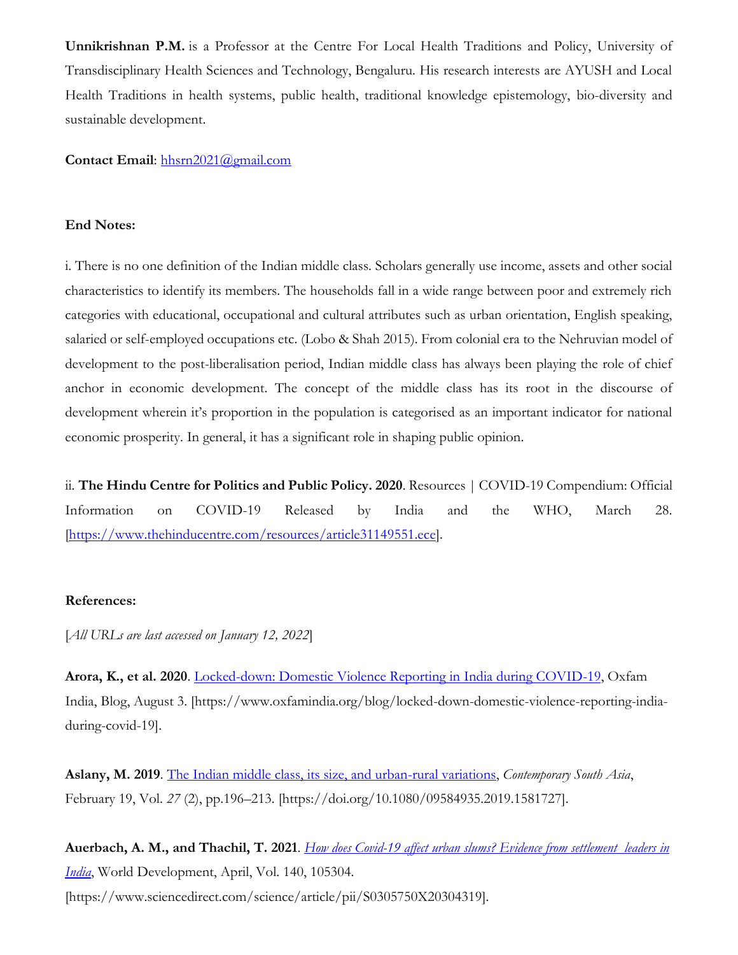**Unnikrishnan P.M.** is a Professor at the Centre For Local Health Traditions and Policy, University of Transdisciplinary Health Sciences and Technology, Bengaluru. His research interests are AYUSH and Local Health Traditions in health systems, public health, traditional knowledge epistemology, bio-diversity and sustainable development.

# **Contact Email**: [hhsrn2021@gmail.com](mailto:hhsrn2021@gmail.com)

# **End Notes:**

i. There is no one definition of the Indian middle class. Scholars generally use income, assets and other social characteristics to identify its members. The households fall in a wide range between poor and extremely rich categories with educational, occupational and cultural attributes such as urban orientation, English speaking, salaried or self-employed occupations etc. (Lobo & Shah 2015). From colonial era to the Nehruvian model of development to the post-liberalisation period, Indian middle class has always been playing the role of chief anchor in economic development. The concept of the middle class has its root in the discourse of development wherein it's proportion in the population is categorised as an important indicator for national economic prosperity. In general, it has a significant role in shaping public opinion.

ii. **The Hindu Centre for Politics and Public Policy. 2020**. Resources | COVID-19 Compendium: Official Information on COVID-19 Released by India and the WHO, March 28. [\[https://www.thehinducentre.com/resources/article31149551.ece\]](https://www.thehinducentre.com/resources/article31149551.ece).

## **References:**

[*All URLs are last accessed on January 12, 2022*]

**Arora, K., et al. 2020**. [Locked-down: Domestic Violence Reporting in India during COVID-19,](https://www.oxfamindia.org/blog/locked-down-domestic-violence-reporting-india-during-covid-19) Oxfam India, Blog, August 3. [https://www.oxfamindia.org/blog/locked-down-domestic-violence-reporting-indiaduring-covid-19].

**Aslany, M. 2019**. [The Indian middle class, its size, and urban-rural variations,](https://www.tandfonline.com/doi/full/10.1080/09584935.2019.1581727) *Contemporary South Asia*, February 19, Vol. *27* (2), pp.196–213. [https://doi.org/10.1080/09584935.2019.1581727].

**Auerbach, A. M., and Thachil, T. 2021**. *[How does Covid-19 affect urban slums? Evidence from settlement](https://reader.elsevier.com/reader/sd/pii/S0305750X20304319?token=4C3B8E60169B3BE5333028DE79E792E75B1BEEF55EE6FC170C5B2EA6CA5D831AF811A6B64E39A5F603F19CE5FBB69443&originRegion=eu-west-1&originCreation=20211217155314) leaders in [India](https://reader.elsevier.com/reader/sd/pii/S0305750X20304319?token=4C3B8E60169B3BE5333028DE79E792E75B1BEEF55EE6FC170C5B2EA6CA5D831AF811A6B64E39A5F603F19CE5FBB69443&originRegion=eu-west-1&originCreation=20211217155314)*, World Development, April, Vol. 140, 105304. [https://www.sciencedirect.com/science/article/pii/S0305750X20304319].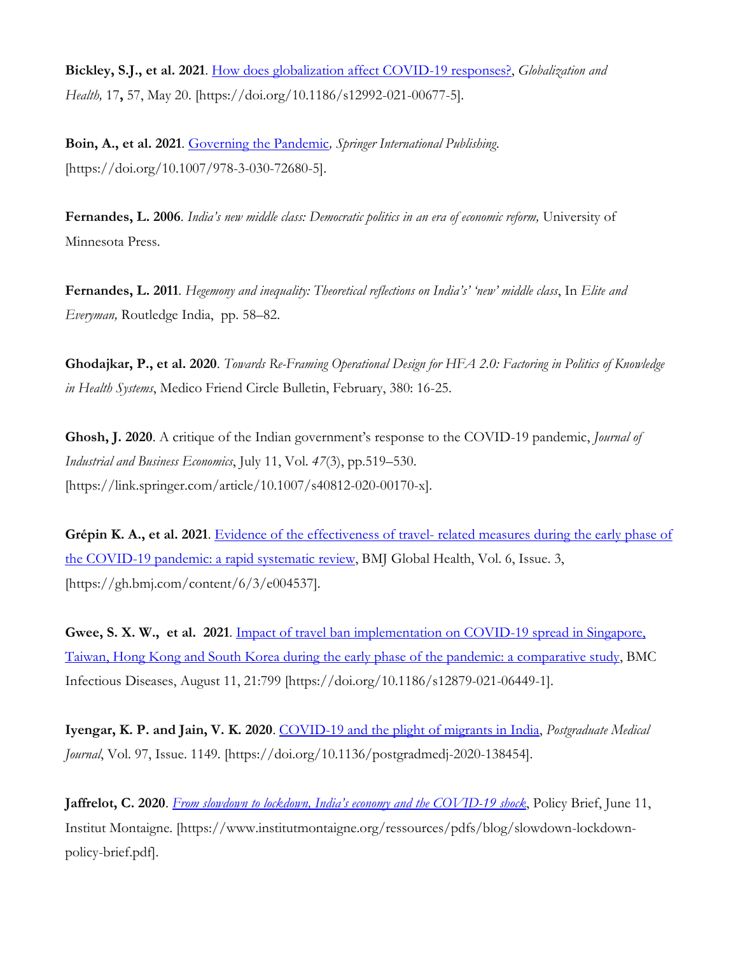**Bickley, S.J., et al. 2021**. [How does globalization affect COVID-19 responses?,](https://globalizationandhealth.biomedcentral.com/articles/10.1186/s12992-021-00677-5) *Globalization and Health,* 17**,** 57, May 20. [https://doi.org/10.1186/s12992-021-00677-5].

**Boin, A., et al. 2021**. [Governing the Pandemic](https://link.springer.com/book/10.1007%2F978-3-030-72680-5)*, Springer International Publishing*. [https://doi.org/10.1007/978-3-030-72680-5].

**Fernandes, L. 2006**. *India's new middle class: Democratic politics in an era of economic reform,* University of Minnesota Press.

**Fernandes, L. 2011**. *Hegemony and inequality: Theoretical reflections on India's' 'new' middle class*, In *Elite and Everyman,* Routledge India, pp. 58–82.

**Ghodajkar, P., et al. 2020**. *Towards Re-Framing Operational Design for HFA 2.0: Factoring in Politics of Knowledge in Health Systems*, Medico Friend Circle Bulletin, February, 380: 16-25.

**Ghosh, J. 2020**. A critique of the Indian government's response to the COVID-19 pandemic, *Journal of Industrial and Business Economics*, July 11, Vol. *47*(3), pp.519–530. [https://link.springer.com/article/10.1007/s40812-020-00170-x].

**Grépin K. A., et al. 2021**. Evidence of the effectiveness of travel- [related measures during the early phase of](https://gh.bmj.com/content/6/3/e004537)  [the COVID-19 pandemic: a rapid systematic review,](https://gh.bmj.com/content/6/3/e004537) BMJ Global Health, Vol. 6, Issue. 3, [https://gh.bmj.com/content/6/3/e004537].

**Gwee, S. X. W., et al. 2021**. [Impact of travel ban implementation on COVID-19 spread in Singapore,](https://doi.org/10.1186/s12879-021-06449-1)  [Taiwan, Hong Kong and South Korea during the early phase of the pandemic: a comparative study,](https://doi.org/10.1186/s12879-021-06449-1) BMC Infectious Diseases, August 11, 21:799 [https://doi.org/10.1186/s12879-021-06449-1].

**Iyengar, K. P. and Jain, V. K. 2020**. [COVID-19 and the plight of migrants in India,](https://doi.org/10.1136/postgradmedj-2020-138454) *Postgraduate Medical Journal*, Vol. 97, Issue. 1149. [https://doi.org/10.1136/postgradmedj-2020-138454].

**Jaffrelot, C. 2020**. *[From slowdown to lockdown, India's economy and the COVID](https://www.institutmontaigne.org/ressources/pdfs/blog/slowdown-lockdown-policy-brief.pdf)-19 shock*, Policy Brief, June 11, Institut Montaigne. [https://www.institutmontaigne.org/ressources/pdfs/blog/slowdown-lockdownpolicy-brief.pdf].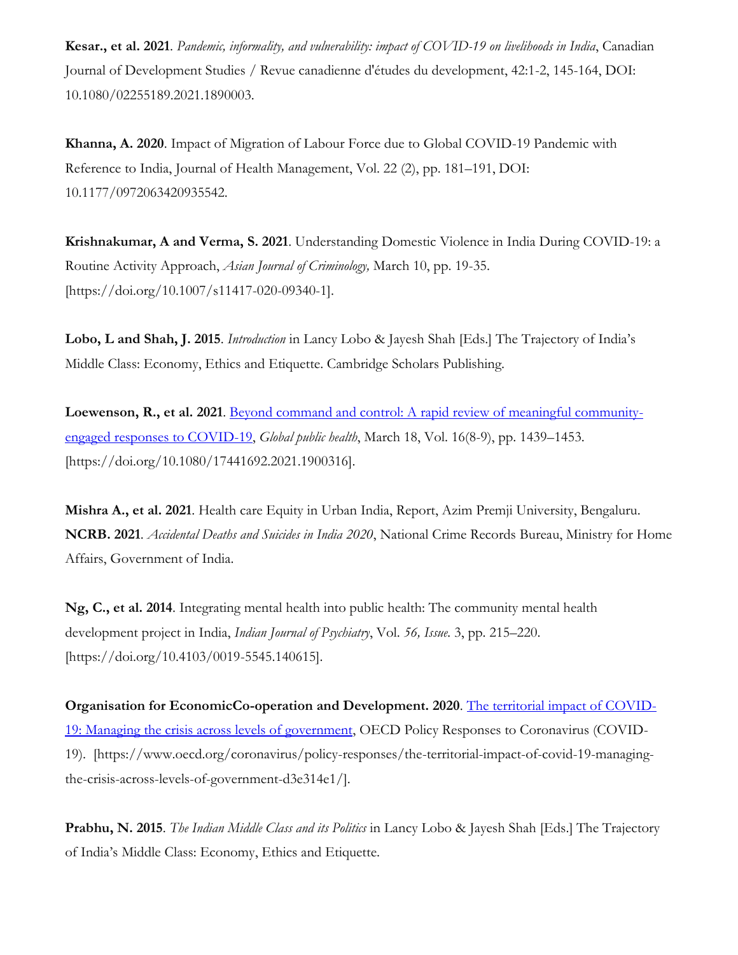**Kesar., et al. 2021**. *Pandemic, informality, and vulnerability: impact of COVID-19 on livelihoods in India*, Canadian Journal of Development Studies / Revue canadienne d'études du development, 42:1-2, 145-164, DOI: 10.1080/02255189.2021.1890003.

**Khanna, A. 2020**. Impact of Migration of Labour Force due to Global COVID-19 Pandemic with Reference to India, Journal of Health Management, Vol. 22 (2), pp. 181–191, DOI: 10.1177/0972063420935542.

**Krishnakumar, A and Verma, S. 2021**. Understanding Domestic Violence in India During COVID-19: a Routine Activity Approach, *Asian Journal of Criminology,* March 10, pp. 19-35. [https://doi.org/10.1007/s11417-020-09340-1].

**Lobo, L and Shah, J. 2015**. *Introduction* in Lancy Lobo & Jayesh Shah [Eds.] The Trajectory of India's Middle Class: Economy, Ethics and Etiquette. Cambridge Scholars Publishing.

Loewenson, R., et al. 2021. [Beyond command and control: A rapid review of meaningful community](https://www.tandfonline.com/doi/full/10.1080/17441692.2021.1900316)[engaged responses to COVID-19,](https://www.tandfonline.com/doi/full/10.1080/17441692.2021.1900316) *Global public health*, March 18, Vol. 16(8-9), pp. 1439–1453. [https://doi.org/10.1080/17441692.2021.1900316].

**Mishra A., et al. 2021**. Health care Equity in Urban India, Report, Azim Premji University, Bengaluru. **NCRB. 2021**. *Accidental Deaths and Suicides in India 2020*, National Crime Records Bureau, Ministry for Home Affairs, Government of India.

**Ng, C., et al. 2014**. Integrating mental health into public health: The community mental health development project in India, *Indian Journal of Psychiatry*, Vol. *56, Issue.* 3, pp. 215–220. [https://doi.org/10.4103/0019-5545.140615].

**Organisation for EconomicCo-operation and Development. 2020**. [The territorial impact of COVID-](https://www.oecd.org/coronavirus/policy-responses/the-territorial-impact-of-covid-19-managing-the-crisis-across-levels-of-government-d3e314e1/)[19: Managing the crisis across levels of government,](https://www.oecd.org/coronavirus/policy-responses/the-territorial-impact-of-covid-19-managing-the-crisis-across-levels-of-government-d3e314e1/) OECD Policy Responses to Coronavirus (COVID-19). [https://www.oecd.org/coronavirus/policy-responses/the-territorial-impact-of-covid-19-managingthe-crisis-across-levels-of-government-d3e314e1/].

**Prabhu, N. 2015**. *The Indian Middle Class and its Politics* in Lancy Lobo & Jayesh Shah [Eds.] The Trajectory of India's Middle Class: Economy, Ethics and Etiquette.